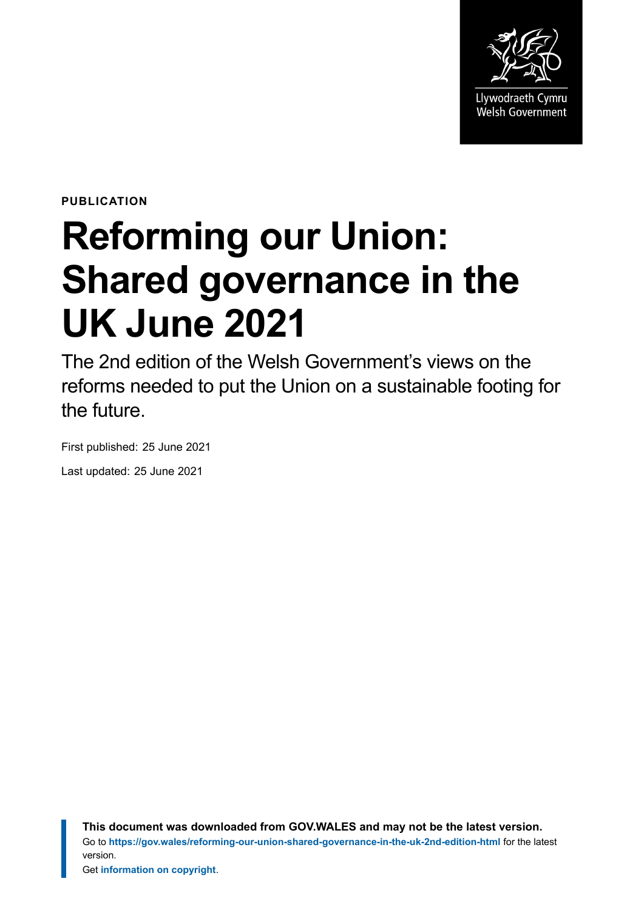

**PUBLICATION**

# **Reforming our Union: Shared governance in the UK June 2021**

The 2nd edition of the Welsh Government's views on the reforms needed to put the Union on a sustainable footing for the future.

First published: 25 June 2021 Last updated: 25 June 2021

> **This document was downloaded from GOV.WALES and may not be the latest version.** Go to **<https://gov.wales/reforming-our-union-shared-governance-in-the-uk-2nd-edition-html>** for the latest version.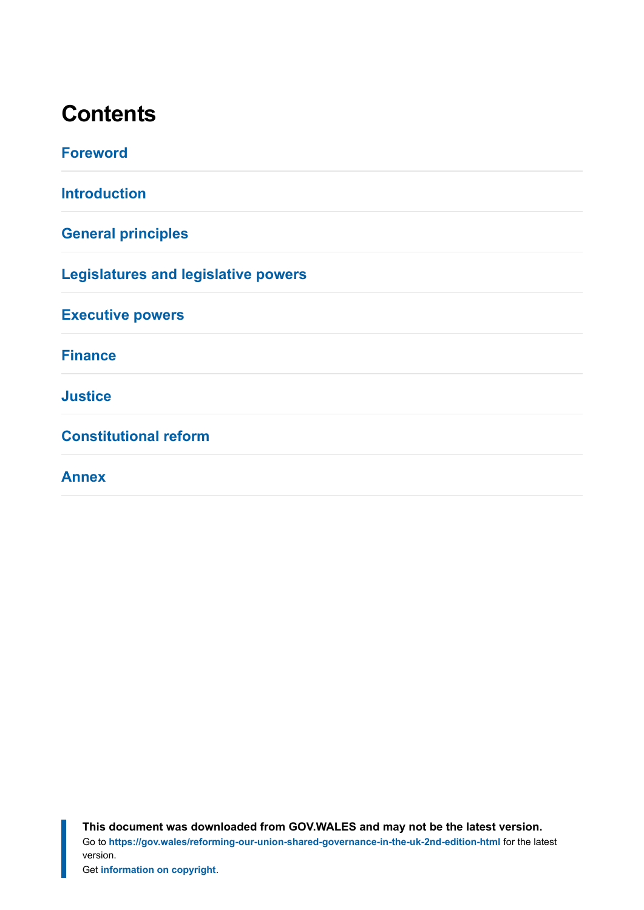# **Contents**

| <b>Foreword</b>                            |
|--------------------------------------------|
| <b>Introduction</b>                        |
| <b>General principles</b>                  |
| <b>Legislatures and legislative powers</b> |
| <b>Executive powers</b>                    |
| <b>Finance</b>                             |
| <b>Justice</b>                             |
| <b>Constitutional reform</b>               |
| <b>Annex</b>                               |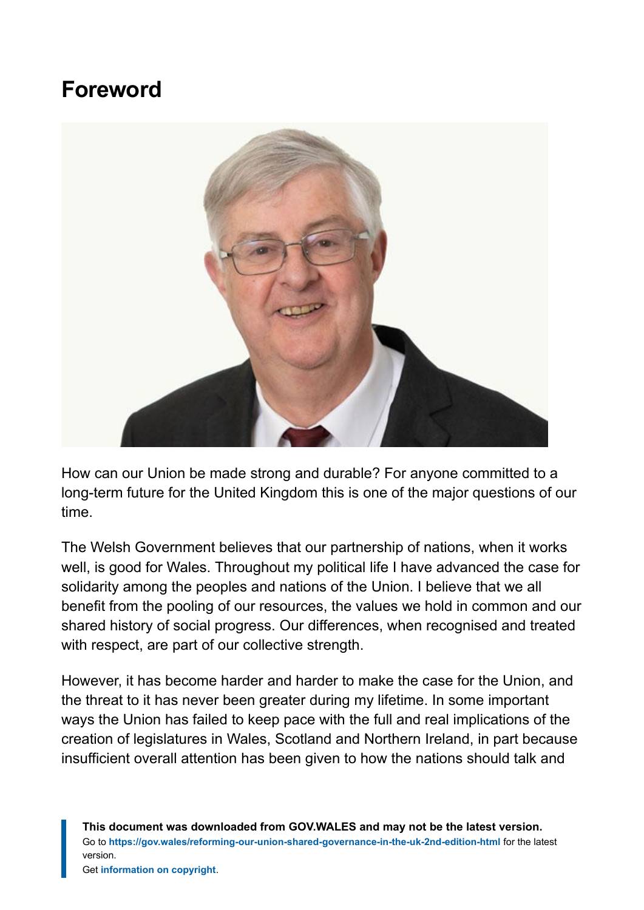# **Foreword**

<span id="page-2-0"></span>

How can our Union be made strong and durable? For anyone committed to a long-term future for the United Kingdom this is one of the major questions of our time.

The Welsh Government believes that our partnership of nations, when it works well, is good for Wales. Throughout my political life I have advanced the case for solidarity among the peoples and nations of the Union. I believe that we all benefit from the pooling of our resources, the values we hold in common and our shared history of social progress. Our differences, when recognised and treated with respect, are part of our collective strength.

However, it has become harder and harder to make the case for the Union, and the threat to it has never been greater during my lifetime. In some important ways the Union has failed to keep pace with the full and real implications of the creation of legislatures in Wales, Scotland and Northern Ireland, in part because insufficient overall attention has been given to how the nations should talk and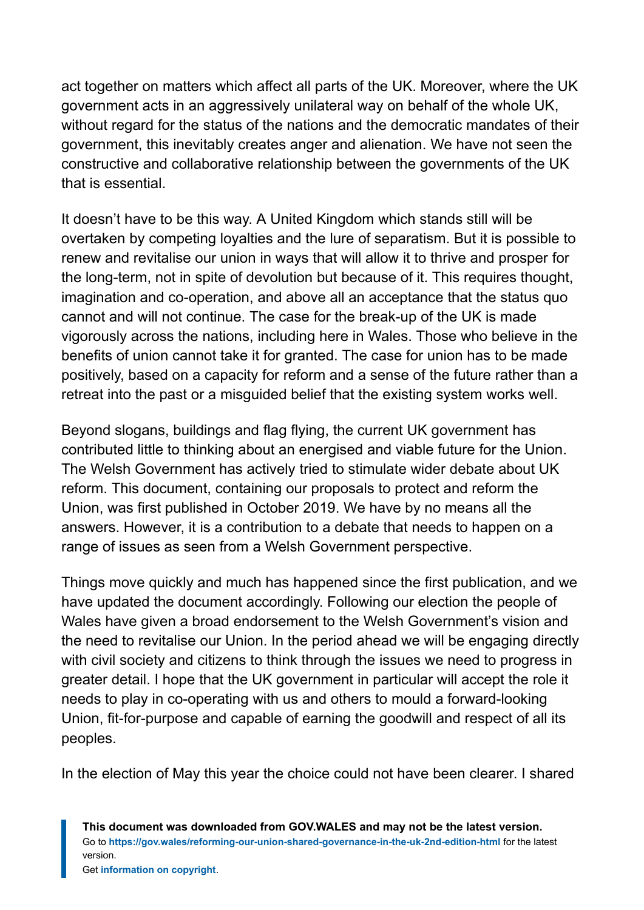act together on matters which affect all parts of the UK. Moreover, where the UK government acts in an aggressively unilateral way on behalf of the whole UK, without regard for the status of the nations and the democratic mandates of their government, this inevitably creates anger and alienation. We have not seen the constructive and collaborative relationship between the governments of the UK that is essential.

It doesn't have to be this way. A United Kingdom which stands still will be overtaken by competing loyalties and the lure of separatism. But it is possible to renew and revitalise our union in ways that will allow it to thrive and prosper for the long-term, not in spite of devolution but because of it. This requires thought, imagination and co-operation, and above all an acceptance that the status quo cannot and will not continue. The case for the break-up of the UK is made vigorously across the nations, including here in Wales. Those who believe in the benefits of union cannot take it for granted. The case for union has to be made positively, based on a capacity for reform and a sense of the future rather than a retreat into the past or a misguided belief that the existing system works well.

Beyond slogans, buildings and flag flying, the current UK government has contributed little to thinking about an energised and viable future for the Union. The Welsh Government has actively tried to stimulate wider debate about UK reform. This document, containing our proposals to protect and reform the Union, was first published in October 2019. We have by no means all the answers. However, it is a contribution to a debate that needs to happen on a range of issues as seen from a Welsh Government perspective.

Things move quickly and much has happened since the first publication, and we have updated the document accordingly. Following our election the people of Wales have given a broad endorsement to the Welsh Government's vision and the need to revitalise our Union. In the period ahead we will be engaging directly with civil society and citizens to think through the issues we need to progress in greater detail. I hope that the UK government in particular will accept the role it needs to play in co-operating with us and others to mould a forward-looking Union, fit-for-purpose and capable of earning the goodwill and respect of all its peoples.

In the election of May this year the choice could not have been clearer. I shared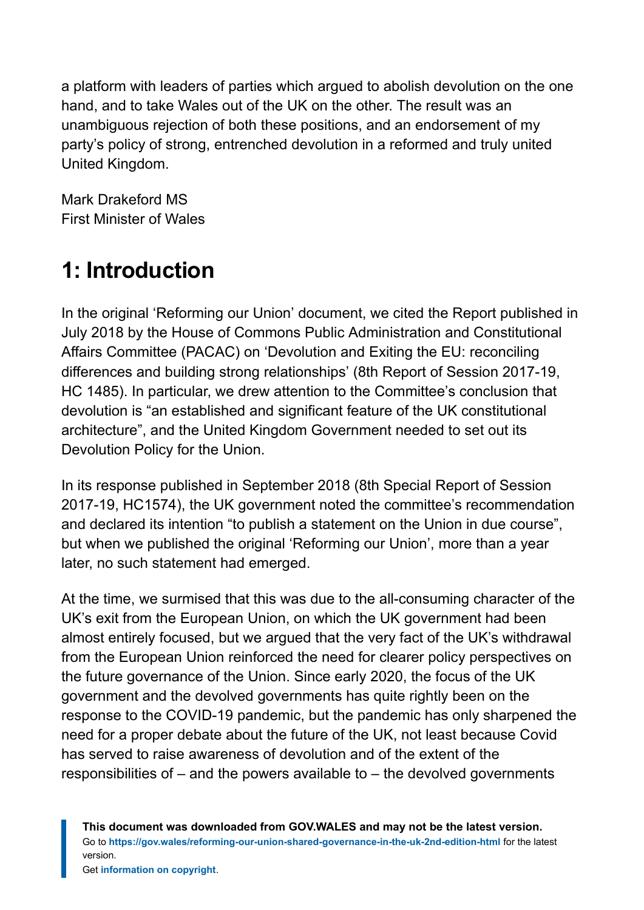a platform with leaders of parties which argued to abolish devolution on the one hand, and to take Wales out of the UK on the other. The result was an unambiguous rejection of both these positions, and an endorsement of my party's policy of strong, entrenched devolution in a reformed and truly united United Kingdom.

Mark Drakeford MS First Minister of Wales

# <span id="page-4-0"></span>**1: Introduction**

In the original 'Reforming our Union' document, we cited the Report published in July 2018 by the House of Commons Public Administration and Constitutional Affairs Committee (PACAC) on 'Devolution and Exiting the EU: reconciling differences and building strong relationships' (8th Report of Session 2017-19, HC 1485). In particular, we drew attention to the Committee's conclusion that devolution is "an established and significant feature of the UK constitutional architecture", and the United Kingdom Government needed to set out its Devolution Policy for the Union.

In its response published in September 2018 (8th Special Report of Session 2017-19, HC1574), the UK government noted the committee's recommendation and declared its intention "to publish a statement on the Union in due course", but when we published the original 'Reforming our Union', more than a year later, no such statement had emerged.

At the time, we surmised that this was due to the all-consuming character of the UK's exit from the European Union, on which the UK government had been almost entirely focused, but we argued that the very fact of the UK's withdrawal from the European Union reinforced the need for clearer policy perspectives on the future governance of the Union. Since early 2020, the focus of the UK government and the devolved governments has quite rightly been on the response to the COVID-19 pandemic, but the pandemic has only sharpened the need for a proper debate about the future of the UK, not least because Covid has served to raise awareness of devolution and of the extent of the responsibilities of – and the powers available to – the devolved governments

**This document was downloaded from GOV.WALES and may not be the latest version.** Go to **<https://gov.wales/reforming-our-union-shared-governance-in-the-uk-2nd-edition-html>** for the latest version.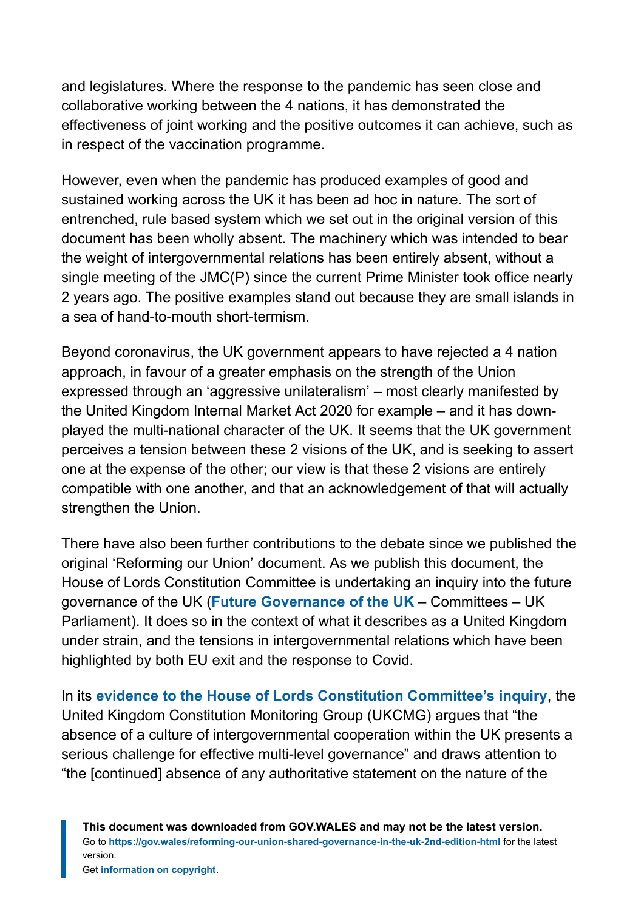and legislatures. Where the response to the pandemic has seen close and collaborative working between the 4 nations, it has demonstrated the effectiveness of joint working and the positive outcomes it can achieve, such as in respect of the vaccination programme.

However, even when the pandemic has produced examples of good and sustained working across the UK it has been ad hoc in nature. The sort of entrenched, rule based system which we set out in the original version of this document has been wholly absent. The machinery which was intended to bear the weight of intergovernmental relations has been entirely absent, without a single meeting of the JMC(P) since the current Prime Minister took office nearly 2 years ago. The positive examples stand out because they are small islands in a sea of hand-to-mouth short-termism.

Beyond coronavirus, the UK government appears to have rejected a 4 nation approach, in favour of a greater emphasis on the strength of the Union expressed through an 'aggressive unilateralism' – most clearly manifested by the United Kingdom Internal Market Act 2020 for example – and it has downplayed the multi-national character of the UK. It seems that the UK government perceives a tension between these 2 visions of the UK, and is seeking to assert one at the expense of the other; our view is that these 2 visions are entirely compatible with one another, and that an acknowledgement of that will actually strengthen the Union.

There have also been further contributions to the debate since we published the original 'Reforming our Union' document. As we publish this document, the House of Lords Constitution Committee is undertaking an inquiry into the future governance of the UK (**[Future Governance of the UK](https://committees.parliament.uk/work/1127/future-governance-of-the-uk/)** – Committees – UK Parliament). It does so in the context of what it describes as a United Kingdom under strain, and the tensions in intergovernmental relations which have been highlighted by both EU exit and the response to Covid.

In its **[evidence to the House of Lords Constitution Committee's inquiry](https://committees.parliament.uk/writtenevidence/26914/pdf/)**, the United Kingdom Constitution Monitoring Group (UKCMG) argues that "the absence of a culture of intergovernmental cooperation within the UK presents a serious challenge for effective multi-level governance" and draws attention to "the [continued] absence of any authoritative statement on the nature of the

**This document was downloaded from GOV.WALES and may not be the latest version.** Go to **<https://gov.wales/reforming-our-union-shared-governance-in-the-uk-2nd-edition-html>** for the latest version.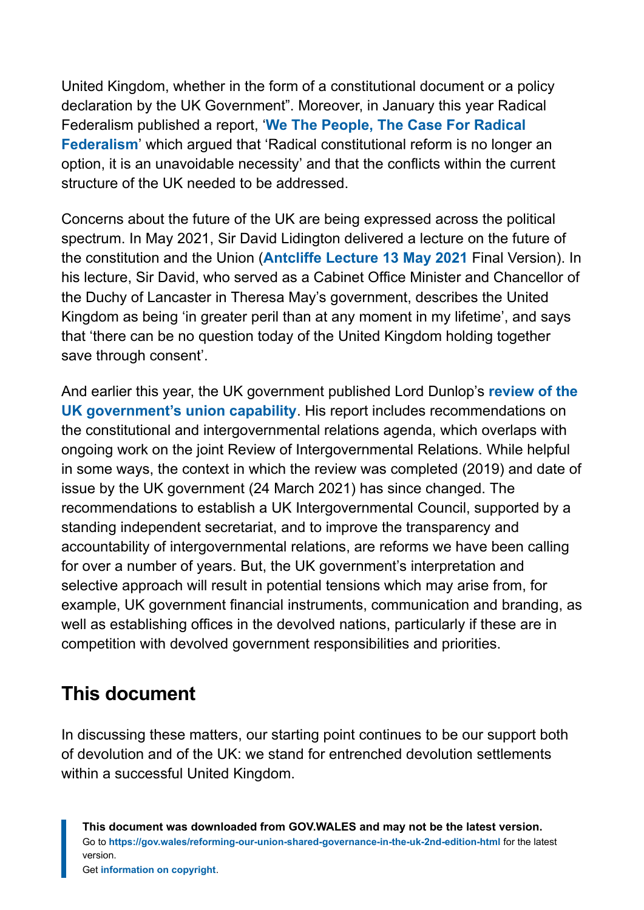United Kingdom, whether in the form of a constitutional document or a policy declaration by the UK Government". Moreover, in January this year Radical Federalism published a report, '**[We The People, The Case For Radical](https://www.drive.google.com/file/d/1iezbE2rmXNCFCeRsvRDWb2JMUbSA8ogO/view?form=MY01SV&OCID=MY01SV) [Federalism](https://www.drive.google.com/file/d/1iezbE2rmXNCFCeRsvRDWb2JMUbSA8ogO/view?form=MY01SV&OCID=MY01SV)**' which argued that 'Radical constitutional reform is no longer an option, it is an unavoidable necessity' and that the conflicts within the current structure of the UK needed to be addressed.

Concerns about the future of the UK are being expressed across the political spectrum. In May 2021, Sir David Lidington delivered a lecture on the future of the constitution and the Union (**[Antcliffe Lecture 13 May 2021](https://www.polis.cam.ac.uk/files/antcliffe_lecture_13_may_2021.pdf)** Final Version). In his lecture, Sir David, who served as a Cabinet Office Minister and Chancellor of the Duchy of Lancaster in Theresa May's government, describes the United Kingdom as being 'in greater peril than at any moment in my lifetime', and says that 'there can be no question today of the United Kingdom holding together save through consent'.

And earlier this year, the UK government published Lord Dunlop's **[review of the](https://www.gov.uk/government/publications/the-dunlop-review-into-uk-government-union-capability) [UK government's union capability](https://www.gov.uk/government/publications/the-dunlop-review-into-uk-government-union-capability)**. His report includes recommendations on the constitutional and intergovernmental relations agenda, which overlaps with ongoing work on the joint Review of Intergovernmental Relations. While helpful in some ways, the context in which the review was completed (2019) and date of issue by the UK government (24 March 2021) has since changed. The recommendations to establish a UK Intergovernmental Council, supported by a standing independent secretariat, and to improve the transparency and accountability of intergovernmental relations, are reforms we have been calling for over a number of years. But, the UK government's interpretation and selective approach will result in potential tensions which may arise from, for example, UK government financial instruments, communication and branding, as well as establishing offices in the devolved nations, particularly if these are in competition with devolved government responsibilities and priorities.

### **This document**

In discussing these matters, our starting point continues to be our support both of devolution and of the UK: we stand for entrenched devolution settlements within a successful United Kingdom.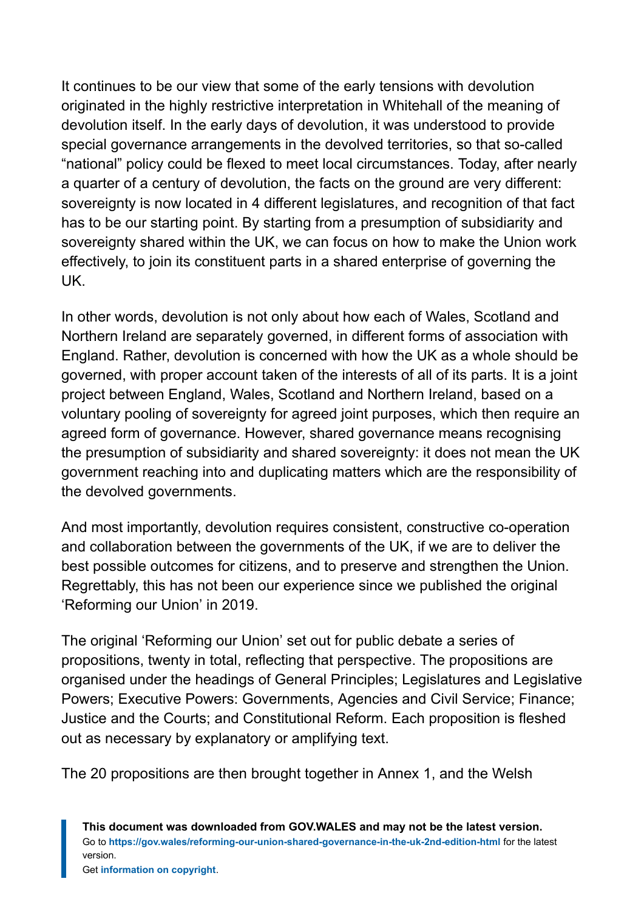It continues to be our view that some of the early tensions with devolution originated in the highly restrictive interpretation in Whitehall of the meaning of devolution itself. In the early days of devolution, it was understood to provide special governance arrangements in the devolved territories, so that so-called "national" policy could be flexed to meet local circumstances. Today, after nearly a quarter of a century of devolution, the facts on the ground are very different: sovereignty is now located in 4 different legislatures, and recognition of that fact has to be our starting point. By starting from a presumption of subsidiarity and sovereignty shared within the UK, we can focus on how to make the Union work effectively, to join its constituent parts in a shared enterprise of governing the UK.

In other words, devolution is not only about how each of Wales, Scotland and Northern Ireland are separately governed, in different forms of association with England. Rather, devolution is concerned with how the UK as a whole should be governed, with proper account taken of the interests of all of its parts. It is a joint project between England, Wales, Scotland and Northern Ireland, based on a voluntary pooling of sovereignty for agreed joint purposes, which then require an agreed form of governance. However, shared governance means recognising the presumption of subsidiarity and shared sovereignty: it does not mean the UK government reaching into and duplicating matters which are the responsibility of the devolved governments.

And most importantly, devolution requires consistent, constructive co-operation and collaboration between the governments of the UK, if we are to deliver the best possible outcomes for citizens, and to preserve and strengthen the Union. Regrettably, this has not been our experience since we published the original 'Reforming our Union' in 2019.

The original 'Reforming our Union' set out for public debate a series of propositions, twenty in total, reflecting that perspective. The propositions are organised under the headings of General Principles; Legislatures and Legislative Powers; Executive Powers: Governments, Agencies and Civil Service; Finance; Justice and the Courts; and Constitutional Reform. Each proposition is fleshed out as necessary by explanatory or amplifying text.

The 20 propositions are then brought together in Annex 1, and the Welsh

**This document was downloaded from GOV.WALES and may not be the latest version.** Go to **<https://gov.wales/reforming-our-union-shared-governance-in-the-uk-2nd-edition-html>** for the latest version.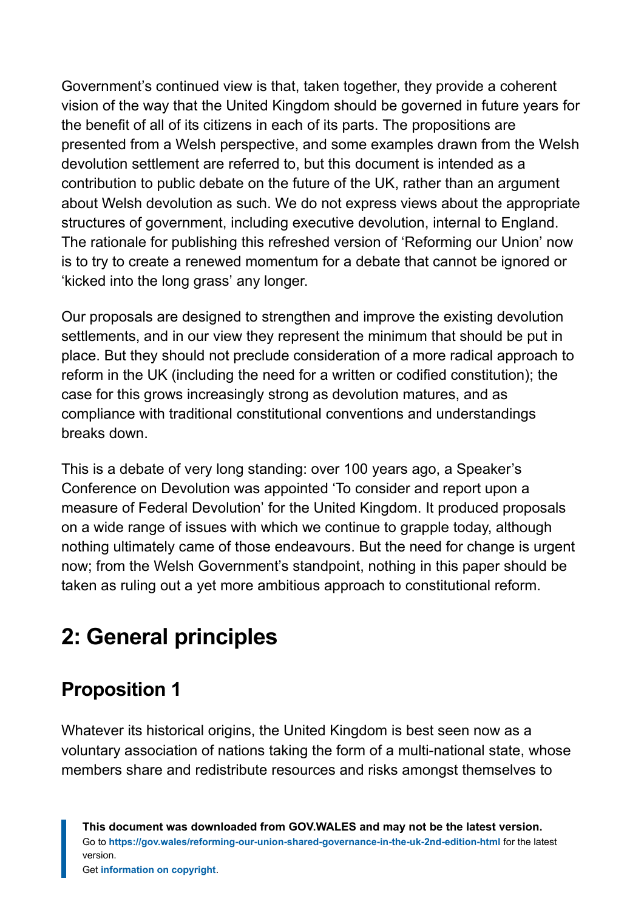Government's continued view is that, taken together, they provide a coherent vision of the way that the United Kingdom should be governed in future years for the benefit of all of its citizens in each of its parts. The propositions are presented from a Welsh perspective, and some examples drawn from the Welsh devolution settlement are referred to, but this document is intended as a contribution to public debate on the future of the UK, rather than an argument about Welsh devolution as such. We do not express views about the appropriate structures of government, including executive devolution, internal to England. The rationale for publishing this refreshed version of 'Reforming our Union' now is to try to create a renewed momentum for a debate that cannot be ignored or 'kicked into the long grass' any longer.

Our proposals are designed to strengthen and improve the existing devolution settlements, and in our view they represent the minimum that should be put in place. But they should not preclude consideration of a more radical approach to reform in the UK (including the need for a written or codified constitution); the case for this grows increasingly strong as devolution matures, and as compliance with traditional constitutional conventions and understandings breaks down.

This is a debate of very long standing: over 100 years ago, a Speaker's Conference on Devolution was appointed 'To consider and report upon a measure of Federal Devolution' for the United Kingdom. It produced proposals on a wide range of issues with which we continue to grapple today, although nothing ultimately came of those endeavours. But the need for change is urgent now; from the Welsh Government's standpoint, nothing in this paper should be taken as ruling out a yet more ambitious approach to constitutional reform.

# <span id="page-8-0"></span>**2: General principles**

# **Proposition 1**

Whatever its historical origins, the United Kingdom is best seen now as a voluntary association of nations taking the form of a multi-national state, whose members share and redistribute resources and risks amongst themselves to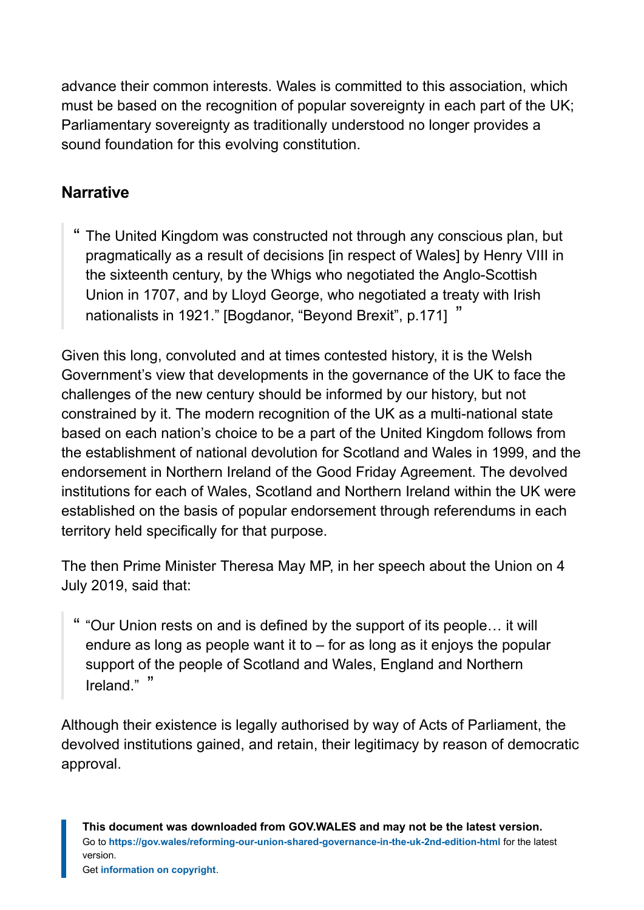advance their common interests. Wales is committed to this association, which must be based on the recognition of popular sovereignty in each part of the UK; Parliamentary sovereignty as traditionally understood no longer provides a sound foundation for this evolving constitution.

#### **Narrative**

The United Kingdom was constructed not through any conscious plan, but pragmatically as a result of decisions [in respect of Wales] by Henry VIII in the sixteenth century, by the Whigs who negotiated the Anglo-Scottish Union in 1707, and by Lloyd George, who negotiated a treaty with Irish nationalists in 1921." [Bogdanor, "Beyond Brexit", p.171] "

Given this long, convoluted and at times contested history, it is the Welsh Government's view that developments in the governance of the UK to face the challenges of the new century should be informed by our history, but not constrained by it. The modern recognition of the UK as a multi-national state based on each nation's choice to be a part of the United Kingdom follows from the establishment of national devolution for Scotland and Wales in 1999, and the endorsement in Northern Ireland of the Good Friday Agreement. The devolved institutions for each of Wales, Scotland and Northern Ireland within the UK were established on the basis of popular endorsement through referendums in each territory held specifically for that purpose.

The then Prime Minister Theresa May MP, in her speech about the Union on 4 July 2019, said that:

" "Our Union rests on and is defined by the support of its people… it will endure as long as people want it to – for as long as it enjoys the popular support of the people of Scotland and Wales, England and Northern Ireland." "

Although their existence is legally authorised by way of Acts of Parliament, the devolved institutions gained, and retain, their legitimacy by reason of democratic approval.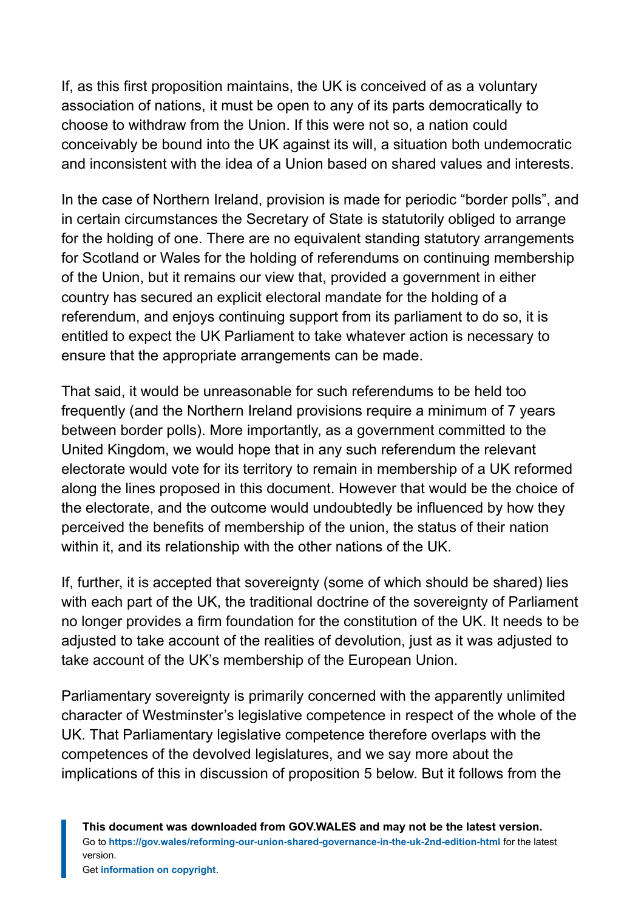If, as this first proposition maintains, the UK is conceived of as a voluntary association of nations, it must be open to any of its parts democratically to choose to withdraw from the Union. If this were not so, a nation could conceivably be bound into the UK against its will, a situation both undemocratic and inconsistent with the idea of a Union based on shared values and interests.

In the case of Northern Ireland, provision is made for periodic "border polls", and in certain circumstances the Secretary of State is statutorily obliged to arrange for the holding of one. There are no equivalent standing statutory arrangements for Scotland or Wales for the holding of referendums on continuing membership of the Union, but it remains our view that, provided a government in either country has secured an explicit electoral mandate for the holding of a referendum, and enjoys continuing support from its parliament to do so, it is entitled to expect the UK Parliament to take whatever action is necessary to ensure that the appropriate arrangements can be made.

That said, it would be unreasonable for such referendums to be held too frequently (and the Northern Ireland provisions require a minimum of 7 years between border polls). More importantly, as a government committed to the United Kingdom, we would hope that in any such referendum the relevant electorate would vote for its territory to remain in membership of a UK reformed along the lines proposed in this document. However that would be the choice of the electorate, and the outcome would undoubtedly be influenced by how they perceived the benefits of membership of the union, the status of their nation within it, and its relationship with the other nations of the UK.

If, further, it is accepted that sovereignty (some of which should be shared) lies with each part of the UK, the traditional doctrine of the sovereignty of Parliament no longer provides a firm foundation for the constitution of the UK. It needs to be adjusted to take account of the realities of devolution, just as it was adjusted to take account of the UK's membership of the European Union.

Parliamentary sovereignty is primarily concerned with the apparently unlimited character of Westminster's legislative competence in respect of the whole of the UK. That Parliamentary legislative competence therefore overlaps with the competences of the devolved legislatures, and we say more about the implications of this in discussion of proposition 5 below. But it follows from the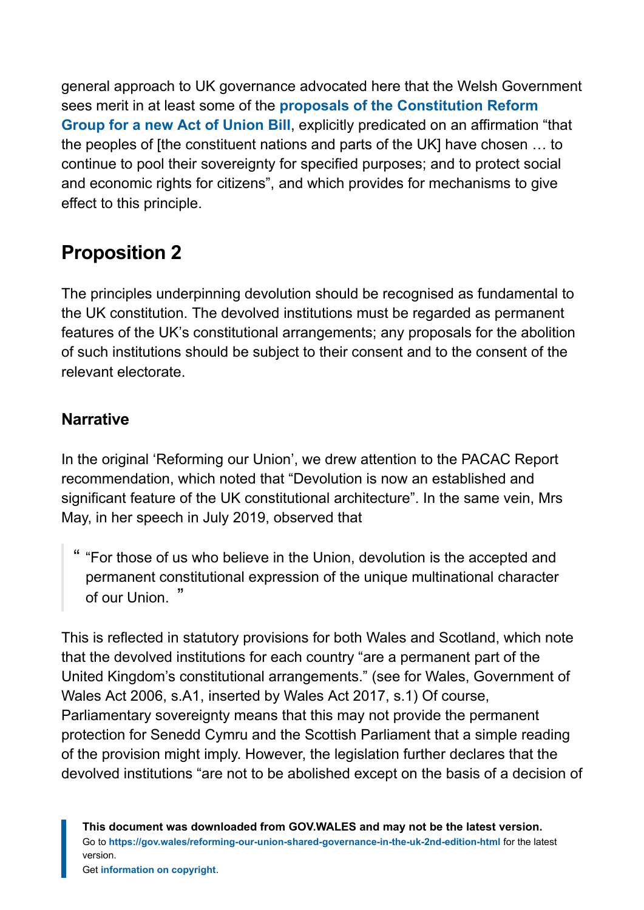general approach to UK governance advocated here that the Welsh Government sees merit in at least some of the **[proposals of the Constitution Reform](http://www.constitutionreformgroup.co.uk/download/act-of-union-bill-2021/) [Group for a new Act of Union Bill](http://www.constitutionreformgroup.co.uk/download/act-of-union-bill-2021/)**, explicitly predicated on an affirmation "that the peoples of [the constituent nations and parts of the UK] have chosen … to continue to pool their sovereignty for specified purposes; and to protect social and economic rights for citizens", and which provides for mechanisms to give effect to this principle.

# **Proposition 2**

The principles underpinning devolution should be recognised as fundamental to the UK constitution. The devolved institutions must be regarded as permanent features of the UK's constitutional arrangements; any proposals for the abolition of such institutions should be subject to their consent and to the consent of the relevant electorate.

#### **Narrative**

In the original 'Reforming our Union', we drew attention to the PACAC Report recommendation, which noted that "Devolution is now an established and significant feature of the UK constitutional architecture". In the same vein, Mrs May, in her speech in July 2019, observed that

" "For those of us who believe in the Union, devolution is the accepted and permanent constitutional expression of the unique multinational character of our Union. "

This is reflected in statutory provisions for both Wales and Scotland, which note that the devolved institutions for each country "are a permanent part of the United Kingdom's constitutional arrangements." (see for Wales, Government of Wales Act 2006, s.A1, inserted by Wales Act 2017, s.1) Of course, Parliamentary sovereignty means that this may not provide the permanent protection for Senedd Cymru and the Scottish Parliament that a simple reading of the provision might imply. However, the legislation further declares that the devolved institutions "are not to be abolished except on the basis of a decision of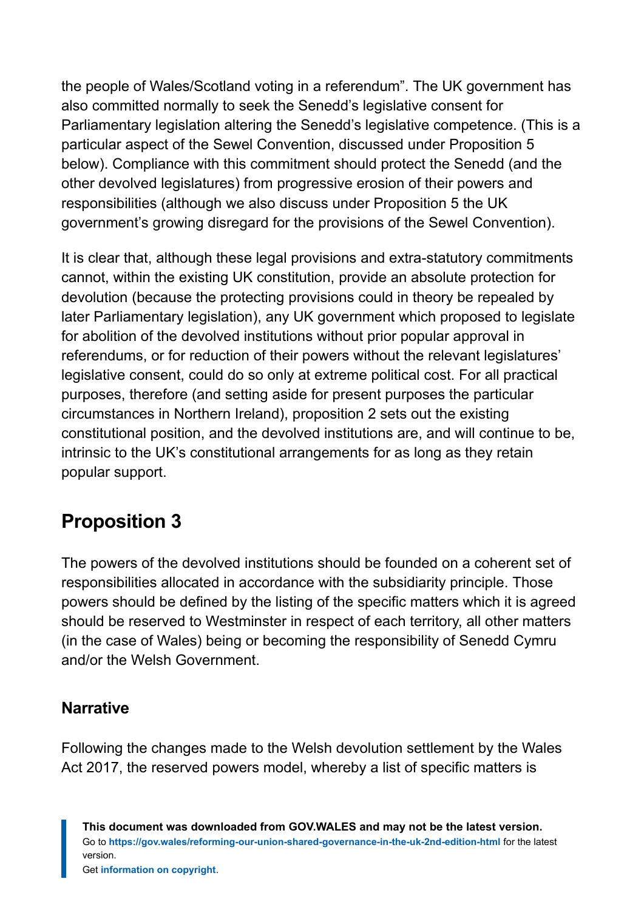the people of Wales/Scotland voting in a referendum". The UK government has also committed normally to seek the Senedd's legislative consent for Parliamentary legislation altering the Senedd's legislative competence. (This is a particular aspect of the Sewel Convention, discussed under Proposition 5 below). Compliance with this commitment should protect the Senedd (and the other devolved legislatures) from progressive erosion of their powers and responsibilities (although we also discuss under Proposition 5 the UK government's growing disregard for the provisions of the Sewel Convention).

It is clear that, although these legal provisions and extra-statutory commitments cannot, within the existing UK constitution, provide an absolute protection for devolution (because the protecting provisions could in theory be repealed by later Parliamentary legislation), any UK government which proposed to legislate for abolition of the devolved institutions without prior popular approval in referendums, or for reduction of their powers without the relevant legislatures' legislative consent, could do so only at extreme political cost. For all practical purposes, therefore (and setting aside for present purposes the particular circumstances in Northern Ireland), proposition 2 sets out the existing constitutional position, and the devolved institutions are, and will continue to be, intrinsic to the UK's constitutional arrangements for as long as they retain popular support.

### **Proposition 3**

The powers of the devolved institutions should be founded on a coherent set of responsibilities allocated in accordance with the subsidiarity principle. Those powers should be defined by the listing of the specific matters which it is agreed should be reserved to Westminster in respect of each territory, all other matters (in the case of Wales) being or becoming the responsibility of Senedd Cymru and/or the Welsh Government.

#### **Narrative**

Following the changes made to the Welsh devolution settlement by the Wales Act 2017, the reserved powers model, whereby a list of specific matters is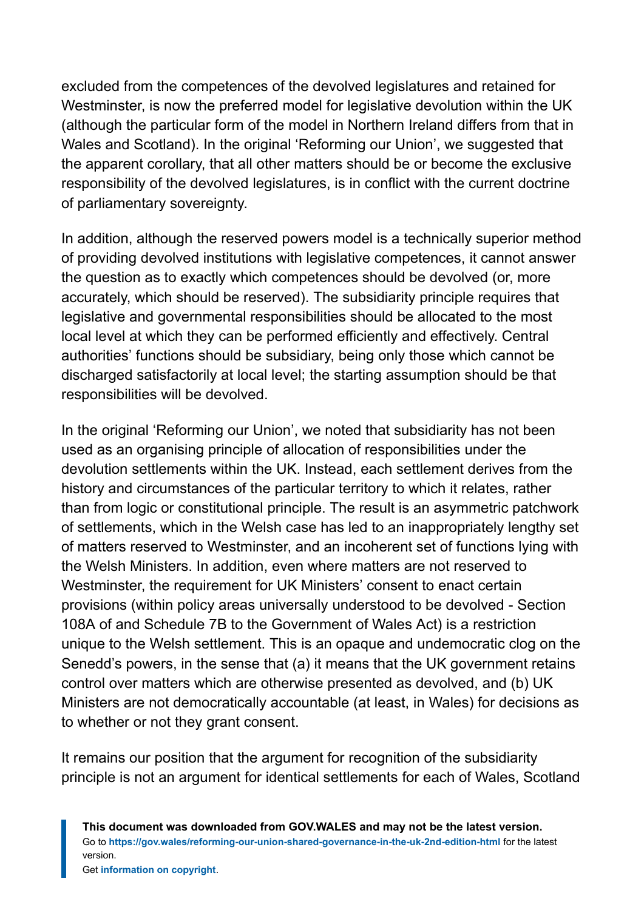excluded from the competences of the devolved legislatures and retained for Westminster, is now the preferred model for legislative devolution within the UK (although the particular form of the model in Northern Ireland differs from that in Wales and Scotland). In the original 'Reforming our Union', we suggested that the apparent corollary, that all other matters should be or become the exclusive responsibility of the devolved legislatures, is in conflict with the current doctrine of parliamentary sovereignty.

In addition, although the reserved powers model is a technically superior method of providing devolved institutions with legislative competences, it cannot answer the question as to exactly which competences should be devolved (or, more accurately, which should be reserved). The subsidiarity principle requires that legislative and governmental responsibilities should be allocated to the most local level at which they can be performed efficiently and effectively. Central authorities' functions should be subsidiary, being only those which cannot be discharged satisfactorily at local level; the starting assumption should be that responsibilities will be devolved.

In the original 'Reforming our Union', we noted that subsidiarity has not been used as an organising principle of allocation of responsibilities under the devolution settlements within the UK. Instead, each settlement derives from the history and circumstances of the particular territory to which it relates, rather than from logic or constitutional principle. The result is an asymmetric patchwork of settlements, which in the Welsh case has led to an inappropriately lengthy set of matters reserved to Westminster, and an incoherent set of functions lying with the Welsh Ministers. In addition, even where matters are not reserved to Westminster, the requirement for UK Ministers' consent to enact certain provisions (within policy areas universally understood to be devolved - Section 108A of and Schedule 7B to the Government of Wales Act) is a restriction unique to the Welsh settlement. This is an opaque and undemocratic clog on the Senedd's powers, in the sense that (a) it means that the UK government retains control over matters which are otherwise presented as devolved, and (b) UK Ministers are not democratically accountable (at least, in Wales) for decisions as to whether or not they grant consent.

It remains our position that the argument for recognition of the subsidiarity principle is not an argument for identical settlements for each of Wales, Scotland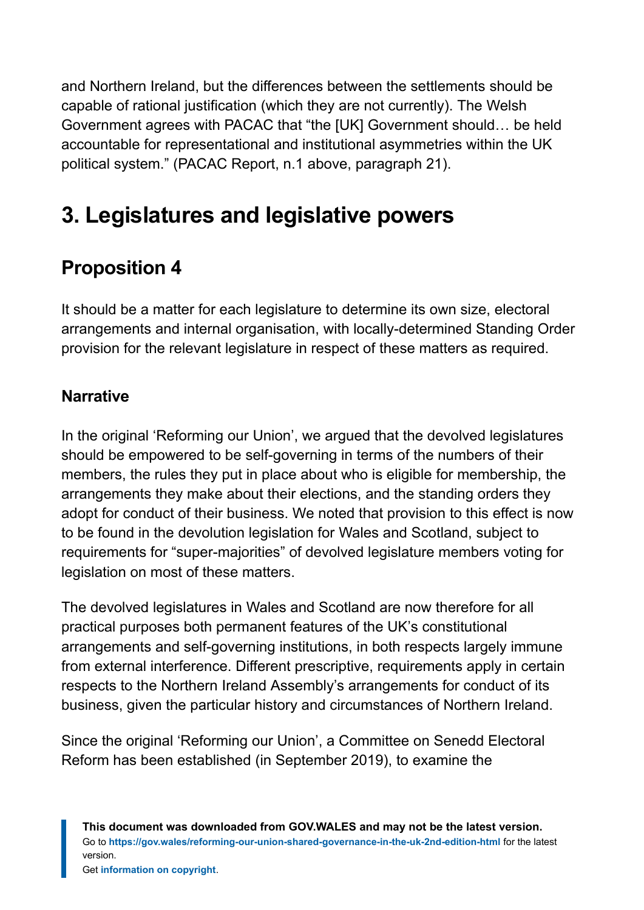and Northern Ireland, but the differences between the settlements should be capable of rational justification (which they are not currently). The Welsh Government agrees with PACAC that "the [UK] Government should… be held accountable for representational and institutional asymmetries within the UK political system." (PACAC Report, n.1 above, paragraph 21).

# <span id="page-14-0"></span>**3. Legislatures and legislative powers**

# **Proposition 4**

It should be a matter for each legislature to determine its own size, electoral arrangements and internal organisation, with locally-determined Standing Order provision for the relevant legislature in respect of these matters as required.

#### **Narrative**

In the original 'Reforming our Union', we argued that the devolved legislatures should be empowered to be self-governing in terms of the numbers of their members, the rules they put in place about who is eligible for membership, the arrangements they make about their elections, and the standing orders they adopt for conduct of their business. We noted that provision to this effect is now to be found in the devolution legislation for Wales and Scotland, subject to requirements for "super-majorities" of devolved legislature members voting for legislation on most of these matters.

The devolved legislatures in Wales and Scotland are now therefore for all practical purposes both permanent features of the UK's constitutional arrangements and self-governing institutions, in both respects largely immune from external interference. Different prescriptive, requirements apply in certain respects to the Northern Ireland Assembly's arrangements for conduct of its business, given the particular history and circumstances of Northern Ireland.

Since the original 'Reforming our Union', a Committee on Senedd Electoral Reform has been established (in September 2019), to examine the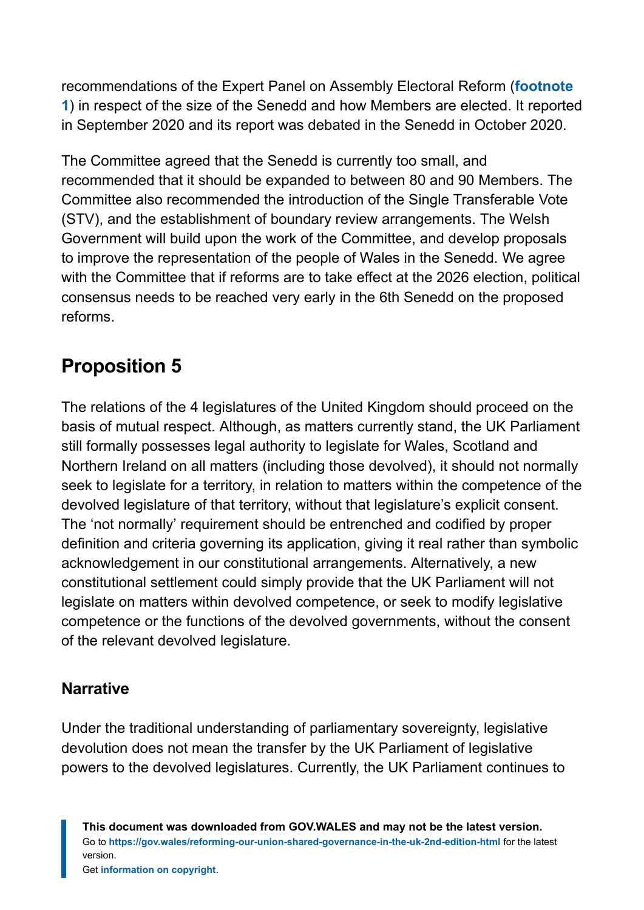recommendations of the Expert Panel on Assembly Electoral Reform (**[footnote](#page-40-1) [1](#page-40-1)**) in respect of the size of the Senedd and how Members are elected. It reported in September 2020 and its report was debated in the Senedd in October 2020.

The Committee agreed that the Senedd is currently too small, and recommended that it should be expanded to between 80 and 90 Members. The Committee also recommended the introduction of the Single Transferable Vote (STV), and the establishment of boundary review arrangements. The Welsh Government will build upon the work of the Committee, and develop proposals to improve the representation of the people of Wales in the Senedd. We agree with the Committee that if reforms are to take effect at the 2026 election, political consensus needs to be reached very early in the 6th Senedd on the proposed reforms.

# **Proposition 5**

The relations of the 4 legislatures of the United Kingdom should proceed on the basis of mutual respect. Although, as matters currently stand, the UK Parliament still formally possesses legal authority to legislate for Wales, Scotland and Northern Ireland on all matters (including those devolved), it should not normally seek to legislate for a territory, in relation to matters within the competence of the devolved legislature of that territory, without that legislature's explicit consent. The 'not normally' requirement should be entrenched and codified by proper definition and criteria governing its application, giving it real rather than symbolic acknowledgement in our constitutional arrangements. Alternatively, a new constitutional settlement could simply provide that the UK Parliament will not legislate on matters within devolved competence, or seek to modify legislative competence or the functions of the devolved governments, without the consent of the relevant devolved legislature.

#### **Narrative**

Under the traditional understanding of parliamentary sovereignty, legislative devolution does not mean the transfer by the UK Parliament of legislative powers to the devolved legislatures. Currently, the UK Parliament continues to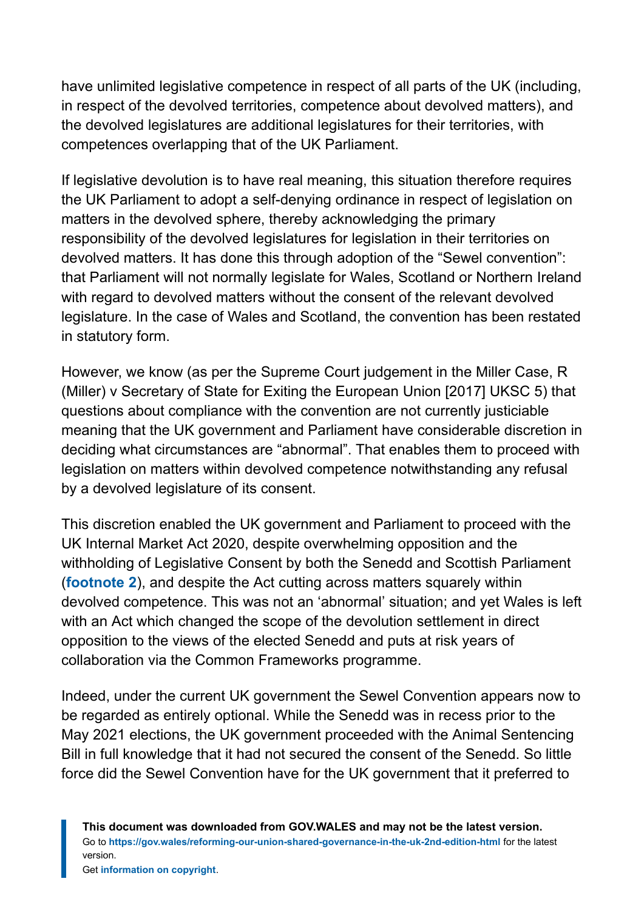have unlimited legislative competence in respect of all parts of the UK (including, in respect of the devolved territories, competence about devolved matters), and the devolved legislatures are additional legislatures for their territories, with competences overlapping that of the UK Parliament.

If legislative devolution is to have real meaning, this situation therefore requires the UK Parliament to adopt a self-denying ordinance in respect of legislation on matters in the devolved sphere, thereby acknowledging the primary responsibility of the devolved legislatures for legislation in their territories on devolved matters. It has done this through adoption of the "Sewel convention": that Parliament will not normally legislate for Wales, Scotland or Northern Ireland with regard to devolved matters without the consent of the relevant devolved legislature. In the case of Wales and Scotland, the convention has been restated in statutory form.

However, we know (as per the Supreme Court judgement in the Miller Case, R (Miller) v Secretary of State for Exiting the European Union [2017] UKSC 5) that questions about compliance with the convention are not currently justiciable meaning that the UK government and Parliament have considerable discretion in deciding what circumstances are "abnormal". That enables them to proceed with legislation on matters within devolved competence notwithstanding any refusal by a devolved legislature of its consent.

This discretion enabled the UK government and Parliament to proceed with the UK Internal Market Act 2020, despite overwhelming opposition and the withholding of Legislative Consent by both the Senedd and Scottish Parliament (**[footnote 2](#page-40-2)**), and despite the Act cutting across matters squarely within devolved competence. This was not an 'abnormal' situation; and yet Wales is left with an Act which changed the scope of the devolution settlement in direct opposition to the views of the elected Senedd and puts at risk years of collaboration via the Common Frameworks programme.

Indeed, under the current UK government the Sewel Convention appears now to be regarded as entirely optional. While the Senedd was in recess prior to the May 2021 elections, the UK government proceeded with the Animal Sentencing Bill in full knowledge that it had not secured the consent of the Senedd. So little force did the Sewel Convention have for the UK government that it preferred to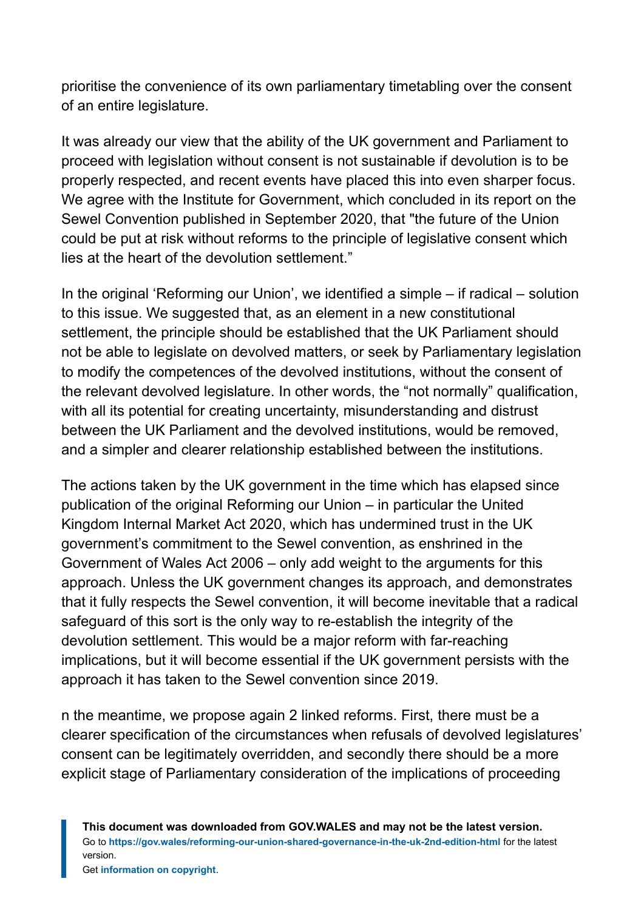prioritise the convenience of its own parliamentary timetabling over the consent of an entire legislature.

It was already our view that the ability of the UK government and Parliament to proceed with legislation without consent is not sustainable if devolution is to be properly respected, and recent events have placed this into even sharper focus. We agree with the Institute for Government, which concluded in its report on the Sewel Convention published in September 2020, that "the future of the Union could be put at risk without reforms to the principle of legislative consent which lies at the heart of the devolution settlement."

In the original 'Reforming our Union', we identified a simple – if radical – solution to this issue. We suggested that, as an element in a new constitutional settlement, the principle should be established that the UK Parliament should not be able to legislate on devolved matters, or seek by Parliamentary legislation to modify the competences of the devolved institutions, without the consent of the relevant devolved legislature. In other words, the "not normally" qualification, with all its potential for creating uncertainty, misunderstanding and distrust between the UK Parliament and the devolved institutions, would be removed, and a simpler and clearer relationship established between the institutions.

The actions taken by the UK government in the time which has elapsed since publication of the original Reforming our Union – in particular the United Kingdom Internal Market Act 2020, which has undermined trust in the UK government's commitment to the Sewel convention, as enshrined in the Government of Wales Act 2006 – only add weight to the arguments for this approach. Unless the UK government changes its approach, and demonstrates that it fully respects the Sewel convention, it will become inevitable that a radical safeguard of this sort is the only way to re-establish the integrity of the devolution settlement. This would be a major reform with far-reaching implications, but it will become essential if the UK government persists with the approach it has taken to the Sewel convention since 2019.

n the meantime, we propose again 2 linked reforms. First, there must be a clearer specification of the circumstances when refusals of devolved legislatures' consent can be legitimately overridden, and secondly there should be a more explicit stage of Parliamentary consideration of the implications of proceeding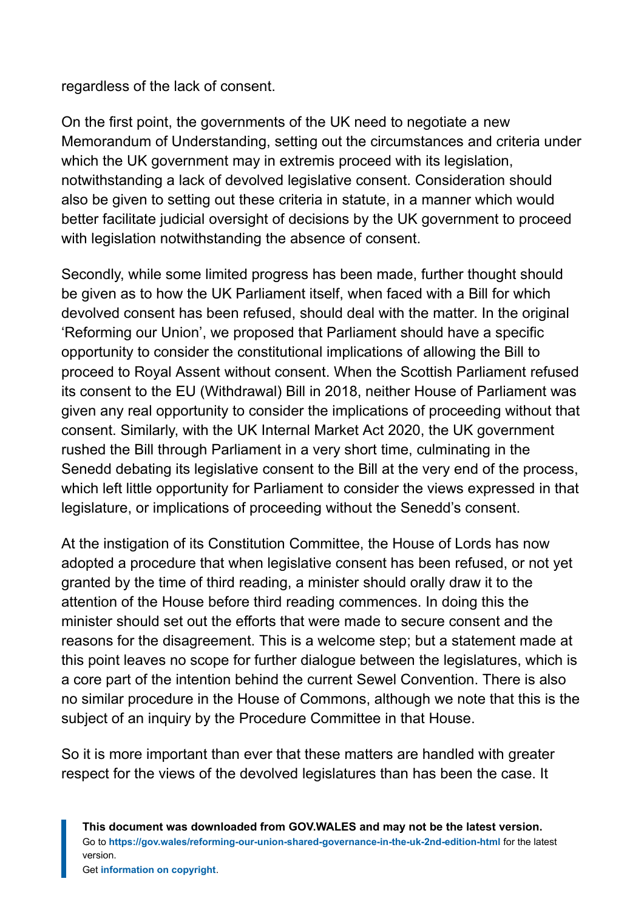regardless of the lack of consent.

On the first point, the governments of the UK need to negotiate a new Memorandum of Understanding, setting out the circumstances and criteria under which the UK government may in extremis proceed with its legislation, notwithstanding a lack of devolved legislative consent. Consideration should also be given to setting out these criteria in statute, in a manner which would better facilitate judicial oversight of decisions by the UK government to proceed with legislation notwithstanding the absence of consent.

Secondly, while some limited progress has been made, further thought should be given as to how the UK Parliament itself, when faced with a Bill for which devolved consent has been refused, should deal with the matter. In the original 'Reforming our Union', we proposed that Parliament should have a specific opportunity to consider the constitutional implications of allowing the Bill to proceed to Royal Assent without consent. When the Scottish Parliament refused its consent to the EU (Withdrawal) Bill in 2018, neither House of Parliament was given any real opportunity to consider the implications of proceeding without that consent. Similarly, with the UK Internal Market Act 2020, the UK government rushed the Bill through Parliament in a very short time, culminating in the Senedd debating its legislative consent to the Bill at the very end of the process, which left little opportunity for Parliament to consider the views expressed in that legislature, or implications of proceeding without the Senedd's consent.

At the instigation of its Constitution Committee, the House of Lords has now adopted a procedure that when legislative consent has been refused, or not yet granted by the time of third reading, a minister should orally draw it to the attention of the House before third reading commences. In doing this the minister should set out the efforts that were made to secure consent and the reasons for the disagreement. This is a welcome step; but a statement made at this point leaves no scope for further dialogue between the legislatures, which is a core part of the intention behind the current Sewel Convention. There is also no similar procedure in the House of Commons, although we note that this is the subject of an inquiry by the Procedure Committee in that House.

So it is more important than ever that these matters are handled with greater respect for the views of the devolved legislatures than has been the case. It

**This document was downloaded from GOV.WALES and may not be the latest version.** Go to **<https://gov.wales/reforming-our-union-shared-governance-in-the-uk-2nd-edition-html>** for the latest version.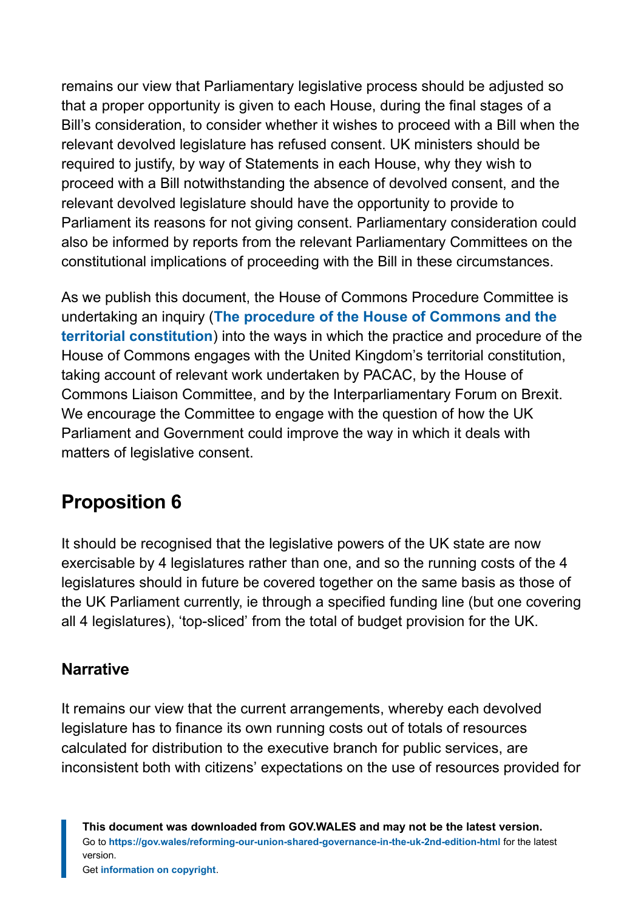remains our view that Parliamentary legislative process should be adjusted so that a proper opportunity is given to each House, during the final stages of a Bill's consideration, to consider whether it wishes to proceed with a Bill when the relevant devolved legislature has refused consent. UK ministers should be required to justify, by way of Statements in each House, why they wish to proceed with a Bill notwithstanding the absence of devolved consent, and the relevant devolved legislature should have the opportunity to provide to Parliament its reasons for not giving consent. Parliamentary consideration could also be informed by reports from the relevant Parliamentary Committees on the constitutional implications of proceeding with the Bill in these circumstances.

As we publish this document, the House of Commons Procedure Committee is undertaking an inquiry (**[The procedure of the House of Commons and the](https://committees.parliament.uk/work/618/the-procedure-of-the-house-of-commons-and-the-territorial-constitution/) [territorial constitution](https://committees.parliament.uk/work/618/the-procedure-of-the-house-of-commons-and-the-territorial-constitution/)**) into the ways in which the practice and procedure of the House of Commons engages with the United Kingdom's territorial constitution, taking account of relevant work undertaken by PACAC, by the House of Commons Liaison Committee, and by the Interparliamentary Forum on Brexit. We encourage the Committee to engage with the question of how the UK Parliament and Government could improve the way in which it deals with matters of legislative consent.

### **Proposition 6**

It should be recognised that the legislative powers of the UK state are now exercisable by 4 legislatures rather than one, and so the running costs of the 4 legislatures should in future be covered together on the same basis as those of the UK Parliament currently, ie through a specified funding line (but one covering all 4 legislatures), 'top-sliced' from the total of budget provision for the UK.

#### **Narrative**

It remains our view that the current arrangements, whereby each devolved legislature has to finance its own running costs out of totals of resources calculated for distribution to the executive branch for public services, are inconsistent both with citizens' expectations on the use of resources provided for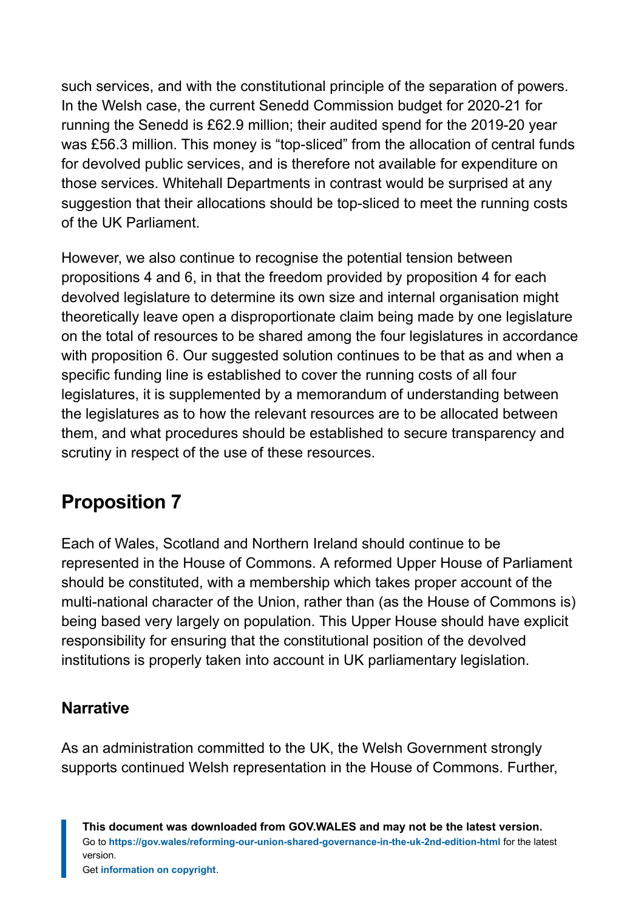such services, and with the constitutional principle of the separation of powers. In the Welsh case, the current Senedd Commission budget for 2020-21 for running the Senedd is £62.9 million; their audited spend for the 2019-20 year was £56.3 million. This money is "top-sliced" from the allocation of central funds for devolved public services, and is therefore not available for expenditure on those services. Whitehall Departments in contrast would be surprised at any suggestion that their allocations should be top-sliced to meet the running costs of the UK Parliament.

However, we also continue to recognise the potential tension between propositions 4 and 6, in that the freedom provided by proposition 4 for each devolved legislature to determine its own size and internal organisation might theoretically leave open a disproportionate claim being made by one legislature on the total of resources to be shared among the four legislatures in accordance with proposition 6. Our suggested solution continues to be that as and when a specific funding line is established to cover the running costs of all four legislatures, it is supplemented by a memorandum of understanding between the legislatures as to how the relevant resources are to be allocated between them, and what procedures should be established to secure transparency and scrutiny in respect of the use of these resources.

### **Proposition 7**

Each of Wales, Scotland and Northern Ireland should continue to be represented in the House of Commons. A reformed Upper House of Parliament should be constituted, with a membership which takes proper account of the multi-national character of the Union, rather than (as the House of Commons is) being based very largely on population. This Upper House should have explicit responsibility for ensuring that the constitutional position of the devolved institutions is properly taken into account in UK parliamentary legislation.

#### **Narrative**

As an administration committed to the UK, the Welsh Government strongly supports continued Welsh representation in the House of Commons. Further,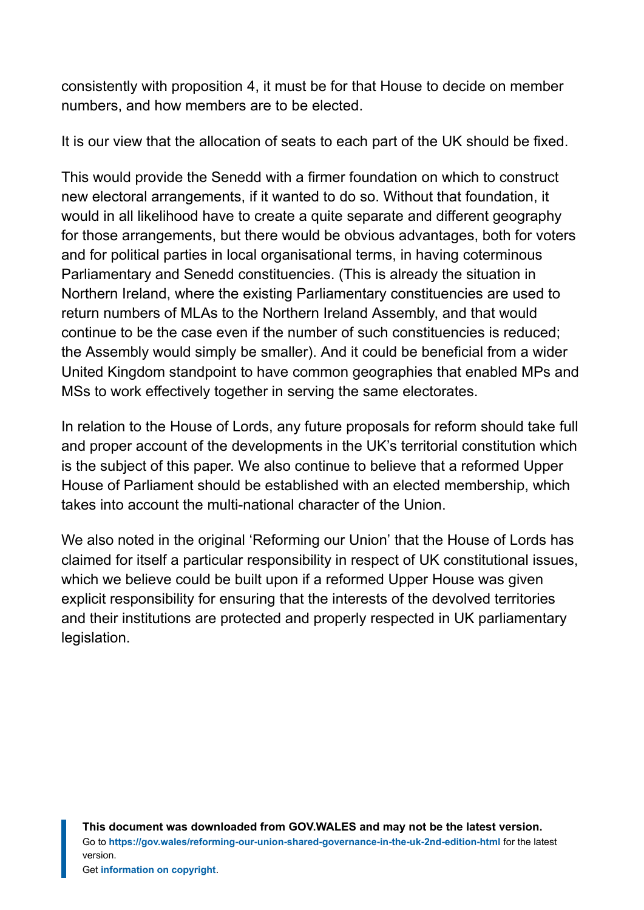consistently with proposition 4, it must be for that House to decide on member numbers, and how members are to be elected.

It is our view that the allocation of seats to each part of the UK should be fixed.

This would provide the Senedd with a firmer foundation on which to construct new electoral arrangements, if it wanted to do so. Without that foundation, it would in all likelihood have to create a quite separate and different geography for those arrangements, but there would be obvious advantages, both for voters and for political parties in local organisational terms, in having coterminous Parliamentary and Senedd constituencies. (This is already the situation in Northern Ireland, where the existing Parliamentary constituencies are used to return numbers of MLAs to the Northern Ireland Assembly, and that would continue to be the case even if the number of such constituencies is reduced; the Assembly would simply be smaller). And it could be beneficial from a wider United Kingdom standpoint to have common geographies that enabled MPs and MSs to work effectively together in serving the same electorates.

In relation to the House of Lords, any future proposals for reform should take full and proper account of the developments in the UK's territorial constitution which is the subject of this paper. We also continue to believe that a reformed Upper House of Parliament should be established with an elected membership, which takes into account the multi-national character of the Union.

We also noted in the original 'Reforming our Union' that the House of Lords has claimed for itself a particular responsibility in respect of UK constitutional issues, which we believe could be built upon if a reformed Upper House was given explicit responsibility for ensuring that the interests of the devolved territories and their institutions are protected and properly respected in UK parliamentary legislation.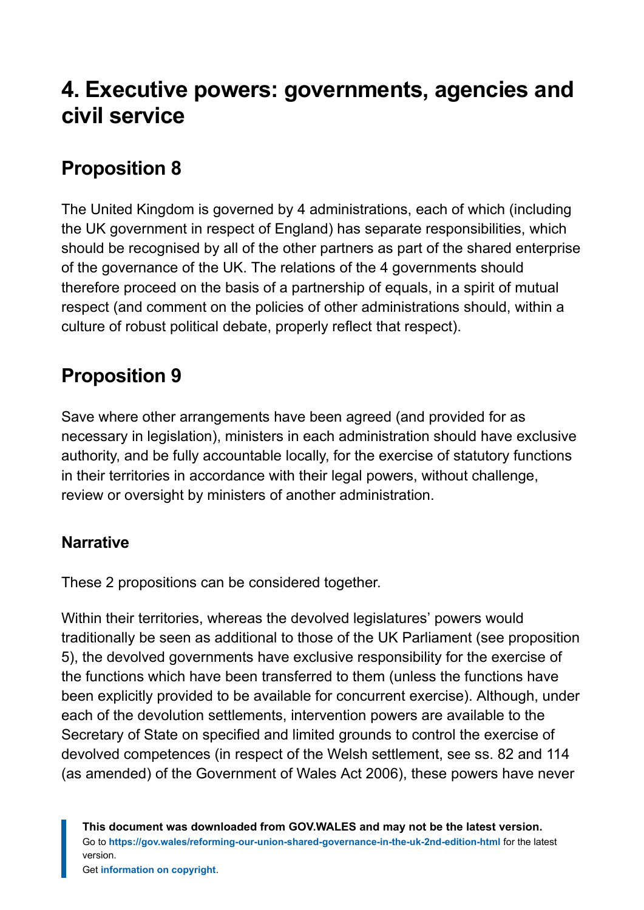# <span id="page-22-0"></span>**4. Executive powers: governments, agencies and civil service**

# **Proposition 8**

The United Kingdom is governed by 4 administrations, each of which (including the UK government in respect of England) has separate responsibilities, which should be recognised by all of the other partners as part of the shared enterprise of the governance of the UK. The relations of the 4 governments should therefore proceed on the basis of a partnership of equals, in a spirit of mutual respect (and comment on the policies of other administrations should, within a culture of robust political debate, properly reflect that respect).

# **Proposition 9**

Save where other arrangements have been agreed (and provided for as necessary in legislation), ministers in each administration should have exclusive authority, and be fully accountable locally, for the exercise of statutory functions in their territories in accordance with their legal powers, without challenge, review or oversight by ministers of another administration.

#### **Narrative**

These 2 propositions can be considered together.

Within their territories, whereas the devolved legislatures' powers would traditionally be seen as additional to those of the UK Parliament (see proposition 5), the devolved governments have exclusive responsibility for the exercise of the functions which have been transferred to them (unless the functions have been explicitly provided to be available for concurrent exercise). Although, under each of the devolution settlements, intervention powers are available to the Secretary of State on specified and limited grounds to control the exercise of devolved competences (in respect of the Welsh settlement, see ss. 82 and 114 (as amended) of the Government of Wales Act 2006), these powers have never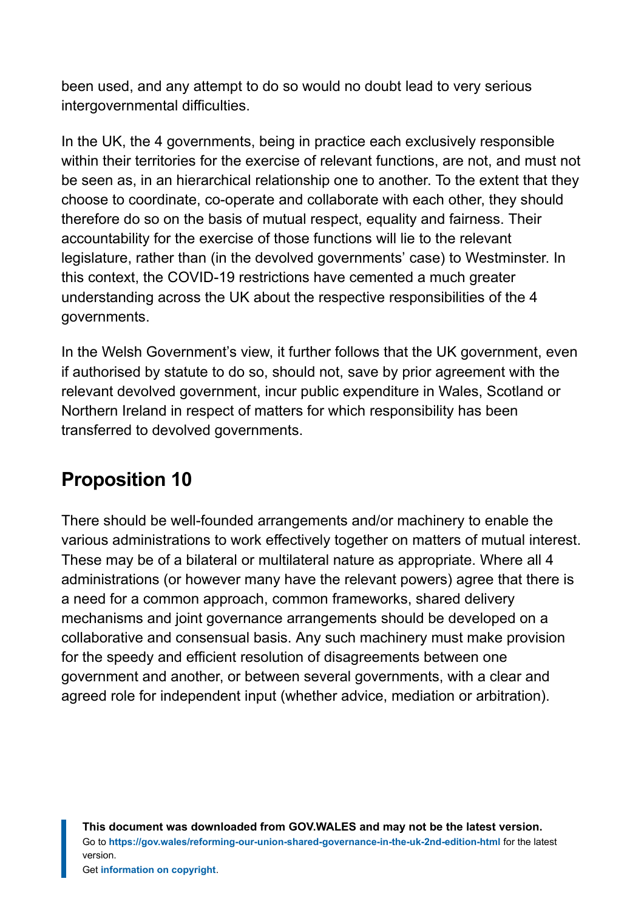been used, and any attempt to do so would no doubt lead to very serious intergovernmental difficulties.

In the UK, the 4 governments, being in practice each exclusively responsible within their territories for the exercise of relevant functions, are not, and must not be seen as, in an hierarchical relationship one to another. To the extent that they choose to coordinate, co-operate and collaborate with each other, they should therefore do so on the basis of mutual respect, equality and fairness. Their accountability for the exercise of those functions will lie to the relevant legislature, rather than (in the devolved governments' case) to Westminster. In this context, the COVID-19 restrictions have cemented a much greater understanding across the UK about the respective responsibilities of the 4 governments.

In the Welsh Government's view, it further follows that the UK government, even if authorised by statute to do so, should not, save by prior agreement with the relevant devolved government, incur public expenditure in Wales, Scotland or Northern Ireland in respect of matters for which responsibility has been transferred to devolved governments.

### **Proposition 10**

There should be well-founded arrangements and/or machinery to enable the various administrations to work effectively together on matters of mutual interest. These may be of a bilateral or multilateral nature as appropriate. Where all 4 administrations (or however many have the relevant powers) agree that there is a need for a common approach, common frameworks, shared delivery mechanisms and joint governance arrangements should be developed on a collaborative and consensual basis. Any such machinery must make provision for the speedy and efficient resolution of disagreements between one government and another, or between several governments, with a clear and agreed role for independent input (whether advice, mediation or arbitration).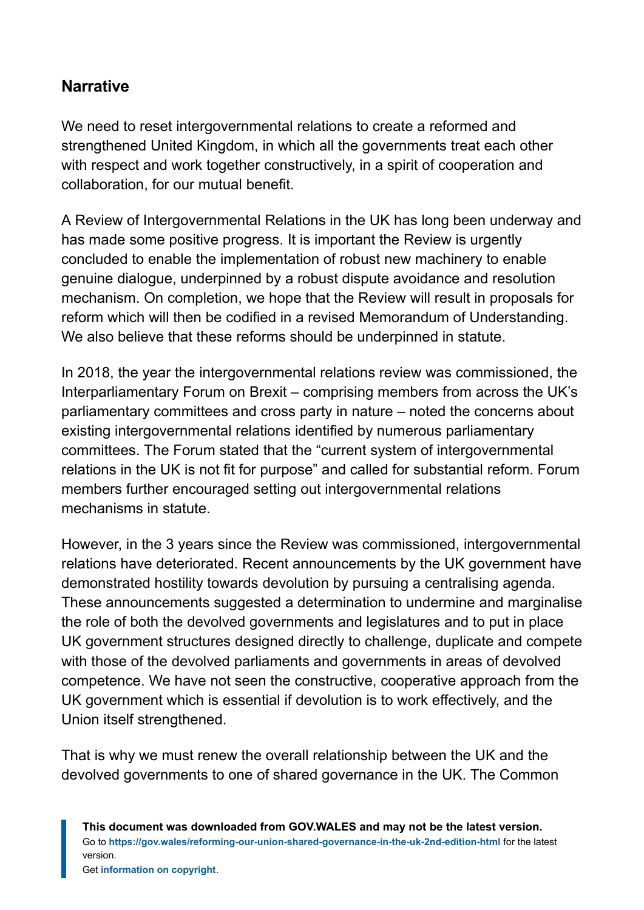#### **Narrative**

We need to reset intergovernmental relations to create a reformed and strengthened United Kingdom, in which all the governments treat each other with respect and work together constructively, in a spirit of cooperation and collaboration, for our mutual benefit.

A Review of Intergovernmental Relations in the UK has long been underway and has made some positive progress. It is important the Review is urgently concluded to enable the implementation of robust new machinery to enable genuine dialogue, underpinned by a robust dispute avoidance and resolution mechanism. On completion, we hope that the Review will result in proposals for reform which will then be codified in a revised Memorandum of Understanding. We also believe that these reforms should be underpinned in statute.

In 2018, the year the intergovernmental relations review was commissioned, the Interparliamentary Forum on Brexit – comprising members from across the UK's parliamentary committees and cross party in nature – noted the concerns about existing intergovernmental relations identified by numerous parliamentary committees. The Forum stated that the "current system of intergovernmental relations in the UK is not fit for purpose" and called for substantial reform. Forum members further encouraged setting out intergovernmental relations mechanisms in statute.

However, in the 3 years since the Review was commissioned, intergovernmental relations have deteriorated. Recent announcements by the UK government have demonstrated hostility towards devolution by pursuing a centralising agenda. These announcements suggested a determination to undermine and marginalise the role of both the devolved governments and legislatures and to put in place UK government structures designed directly to challenge, duplicate and compete with those of the devolved parliaments and governments in areas of devolved competence. We have not seen the constructive, cooperative approach from the UK government which is essential if devolution is to work effectively, and the Union itself strengthened.

That is why we must renew the overall relationship between the UK and the devolved governments to one of shared governance in the UK. The Common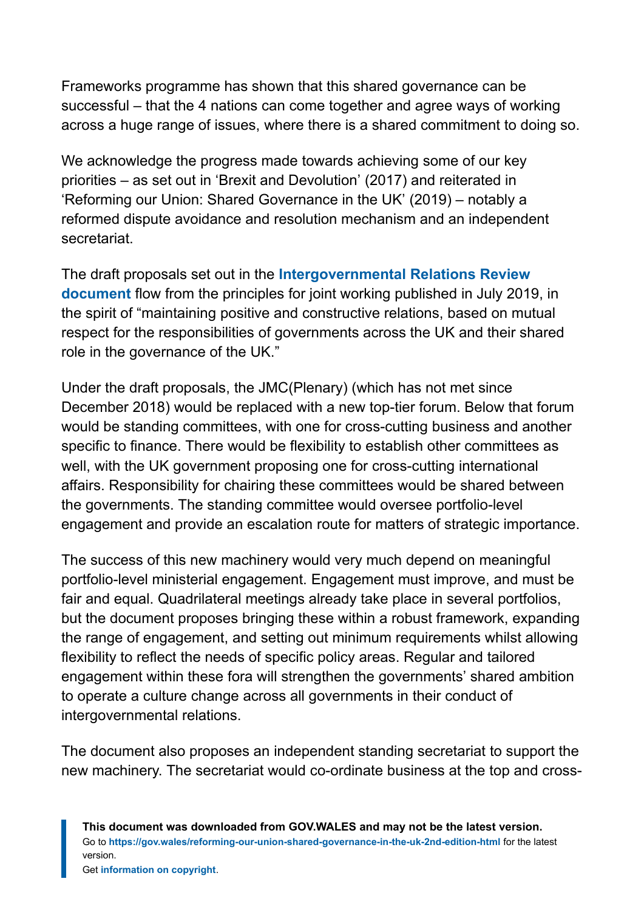Frameworks programme has shown that this shared governance can be successful – that the 4 nations can come together and agree ways of working across a huge range of issues, where there is a shared commitment to doing so.

We acknowledge the progress made towards achieving some of our key priorities – as set out in 'Brexit and Devolution' (2017) and reiterated in 'Reforming our Union: Shared Governance in the UK' (2019) – notably a reformed dispute avoidance and resolution mechanism and an independent secretariat.

The draft proposals set out in the **[Intergovernmental Relations Review](https://www.gov.uk/government/publications/progress-update-on-the-review-of-intergovernmental-relations) [document](https://www.gov.uk/government/publications/progress-update-on-the-review-of-intergovernmental-relations)** flow from the principles for joint working published in July 2019, in the spirit of "maintaining positive and constructive relations, based on mutual respect for the responsibilities of governments across the UK and their shared role in the governance of the UK."

Under the draft proposals, the JMC(Plenary) (which has not met since December 2018) would be replaced with a new top-tier forum. Below that forum would be standing committees, with one for cross-cutting business and another specific to finance. There would be flexibility to establish other committees as well, with the UK government proposing one for cross-cutting international affairs. Responsibility for chairing these committees would be shared between the governments. The standing committee would oversee portfolio-level engagement and provide an escalation route for matters of strategic importance.

The success of this new machinery would very much depend on meaningful portfolio-level ministerial engagement. Engagement must improve, and must be fair and equal. Quadrilateral meetings already take place in several portfolios, but the document proposes bringing these within a robust framework, expanding the range of engagement, and setting out minimum requirements whilst allowing flexibility to reflect the needs of specific policy areas. Regular and tailored engagement within these fora will strengthen the governments' shared ambition to operate a culture change across all governments in their conduct of intergovernmental relations.

The document also proposes an independent standing secretariat to support the new machinery. The secretariat would co-ordinate business at the top and cross-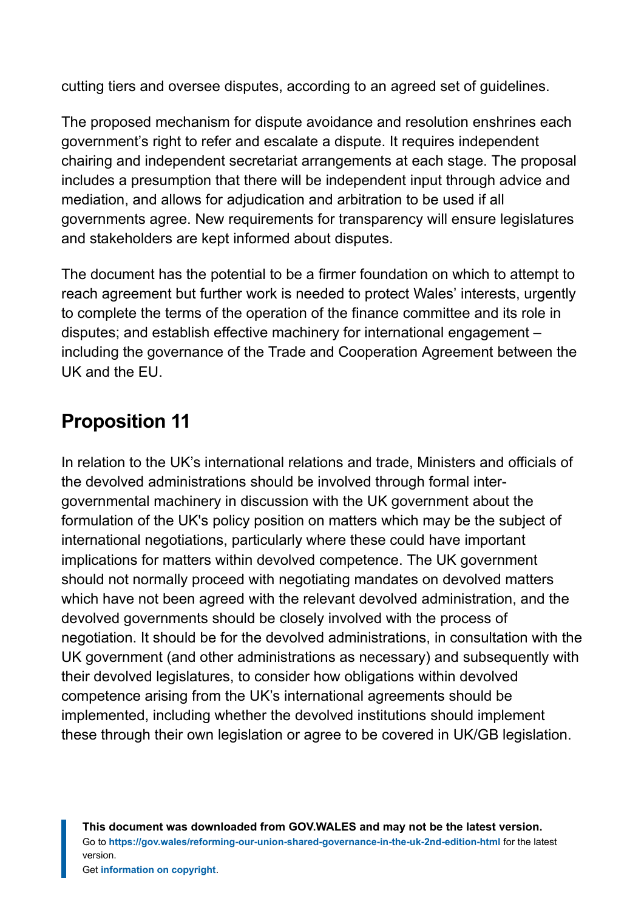cutting tiers and oversee disputes, according to an agreed set of guidelines.

The proposed mechanism for dispute avoidance and resolution enshrines each government's right to refer and escalate a dispute. It requires independent chairing and independent secretariat arrangements at each stage. The proposal includes a presumption that there will be independent input through advice and mediation, and allows for adjudication and arbitration to be used if all governments agree. New requirements for transparency will ensure legislatures and stakeholders are kept informed about disputes.

The document has the potential to be a firmer foundation on which to attempt to reach agreement but further work is needed to protect Wales' interests, urgently to complete the terms of the operation of the finance committee and its role in disputes; and establish effective machinery for international engagement – including the governance of the Trade and Cooperation Agreement between the UK and the EU.

# **Proposition 11**

In relation to the UK's international relations and trade, Ministers and officials of the devolved administrations should be involved through formal intergovernmental machinery in discussion with the UK government about the formulation of the UK's policy position on matters which may be the subject of international negotiations, particularly where these could have important implications for matters within devolved competence. The UK government should not normally proceed with negotiating mandates on devolved matters which have not been agreed with the relevant devolved administration, and the devolved governments should be closely involved with the process of negotiation. It should be for the devolved administrations, in consultation with the UK government (and other administrations as necessary) and subsequently with their devolved legislatures, to consider how obligations within devolved competence arising from the UK's international agreements should be implemented, including whether the devolved institutions should implement these through their own legislation or agree to be covered in UK/GB legislation.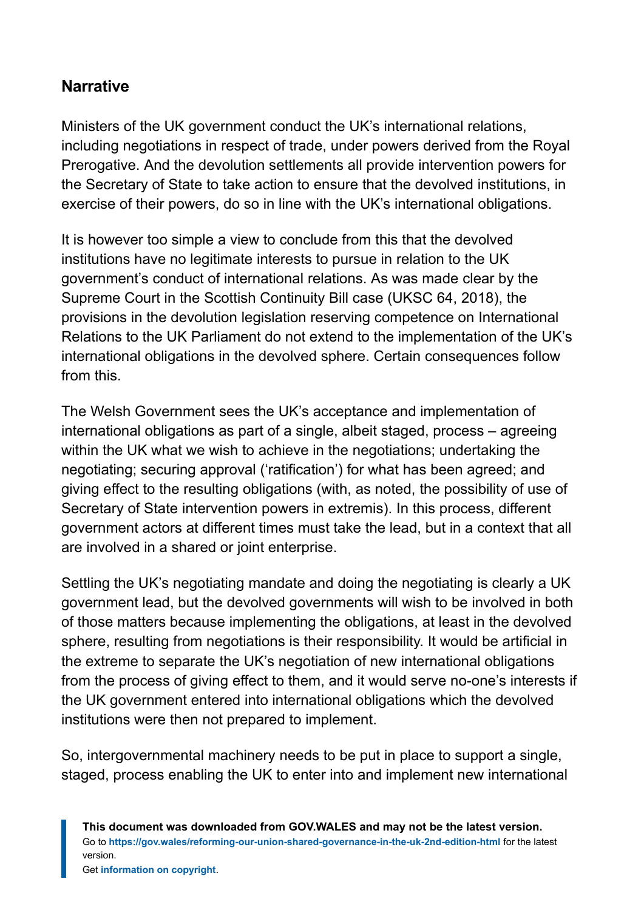#### **Narrative**

Ministers of the UK government conduct the UK's international relations, including negotiations in respect of trade, under powers derived from the Royal Prerogative. And the devolution settlements all provide intervention powers for the Secretary of State to take action to ensure that the devolved institutions, in exercise of their powers, do so in line with the UK's international obligations.

It is however too simple a view to conclude from this that the devolved institutions have no legitimate interests to pursue in relation to the UK government's conduct of international relations. As was made clear by the Supreme Court in the Scottish Continuity Bill case (UKSC 64, 2018), the provisions in the devolution legislation reserving competence on International Relations to the UK Parliament do not extend to the implementation of the UK's international obligations in the devolved sphere. Certain consequences follow from this.

The Welsh Government sees the UK's acceptance and implementation of international obligations as part of a single, albeit staged, process – agreeing within the UK what we wish to achieve in the negotiations; undertaking the negotiating; securing approval ('ratification') for what has been agreed; and giving effect to the resulting obligations (with, as noted, the possibility of use of Secretary of State intervention powers in extremis). In this process, different government actors at different times must take the lead, but in a context that all are involved in a shared or joint enterprise.

Settling the UK's negotiating mandate and doing the negotiating is clearly a UK government lead, but the devolved governments will wish to be involved in both of those matters because implementing the obligations, at least in the devolved sphere, resulting from negotiations is their responsibility. It would be artificial in the extreme to separate the UK's negotiation of new international obligations from the process of giving effect to them, and it would serve no-one's interests if the UK government entered into international obligations which the devolved institutions were then not prepared to implement.

So, intergovernmental machinery needs to be put in place to support a single, staged, process enabling the UK to enter into and implement new international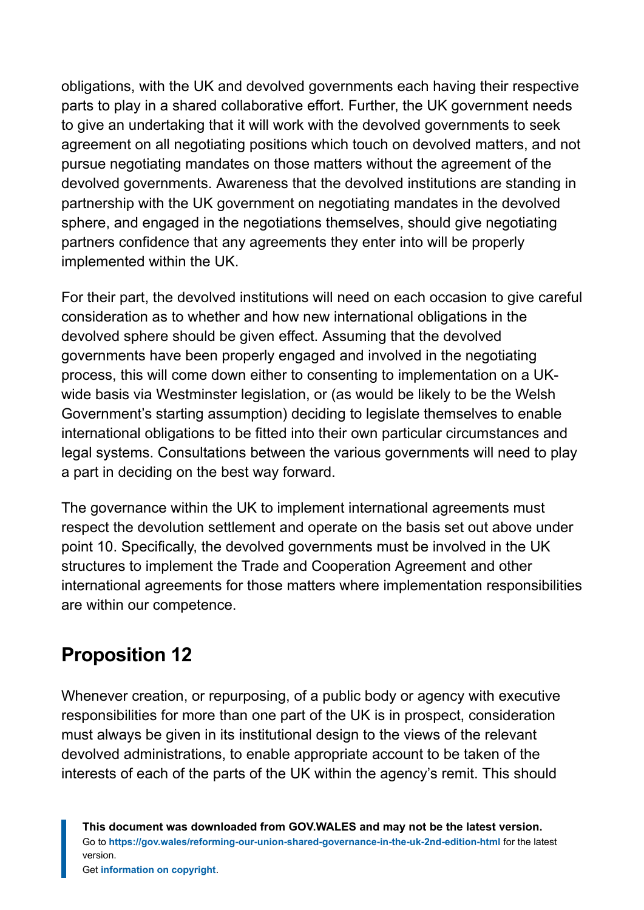obligations, with the UK and devolved governments each having their respective parts to play in a shared collaborative effort. Further, the UK government needs to give an undertaking that it will work with the devolved governments to seek agreement on all negotiating positions which touch on devolved matters, and not pursue negotiating mandates on those matters without the agreement of the devolved governments. Awareness that the devolved institutions are standing in partnership with the UK government on negotiating mandates in the devolved sphere, and engaged in the negotiations themselves, should give negotiating partners confidence that any agreements they enter into will be properly implemented within the UK.

For their part, the devolved institutions will need on each occasion to give careful consideration as to whether and how new international obligations in the devolved sphere should be given effect. Assuming that the devolved governments have been properly engaged and involved in the negotiating process, this will come down either to consenting to implementation on a UKwide basis via Westminster legislation, or (as would be likely to be the Welsh Government's starting assumption) deciding to legislate themselves to enable international obligations to be fitted into their own particular circumstances and legal systems. Consultations between the various governments will need to play a part in deciding on the best way forward.

The governance within the UK to implement international agreements must respect the devolution settlement and operate on the basis set out above under point 10. Specifically, the devolved governments must be involved in the UK structures to implement the Trade and Cooperation Agreement and other international agreements for those matters where implementation responsibilities are within our competence.

### **Proposition 12**

Whenever creation, or repurposing, of a public body or agency with executive responsibilities for more than one part of the UK is in prospect, consideration must always be given in its institutional design to the views of the relevant devolved administrations, to enable appropriate account to be taken of the interests of each of the parts of the UK within the agency's remit. This should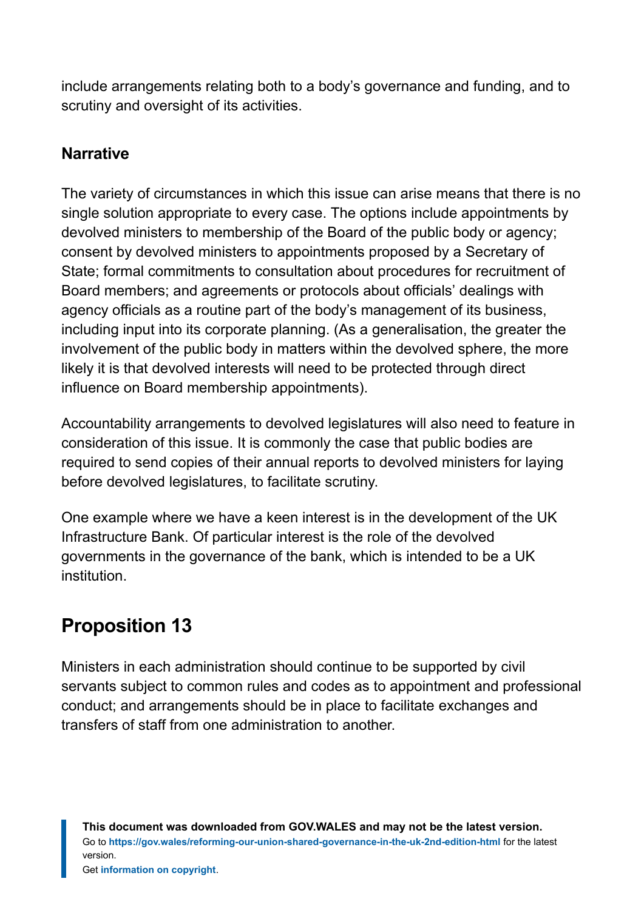include arrangements relating both to a body's governance and funding, and to scrutiny and oversight of its activities.

#### **Narrative**

The variety of circumstances in which this issue can arise means that there is no single solution appropriate to every case. The options include appointments by devolved ministers to membership of the Board of the public body or agency; consent by devolved ministers to appointments proposed by a Secretary of State; formal commitments to consultation about procedures for recruitment of Board members; and agreements or protocols about officials' dealings with agency officials as a routine part of the body's management of its business, including input into its corporate planning. (As a generalisation, the greater the involvement of the public body in matters within the devolved sphere, the more likely it is that devolved interests will need to be protected through direct influence on Board membership appointments).

Accountability arrangements to devolved legislatures will also need to feature in consideration of this issue. It is commonly the case that public bodies are required to send copies of their annual reports to devolved ministers for laying before devolved legislatures, to facilitate scrutiny.

One example where we have a keen interest is in the development of the UK Infrastructure Bank. Of particular interest is the role of the devolved governments in the governance of the bank, which is intended to be a UK institution.

### **Proposition 13**

Ministers in each administration should continue to be supported by civil servants subject to common rules and codes as to appointment and professional conduct; and arrangements should be in place to facilitate exchanges and transfers of staff from one administration to another.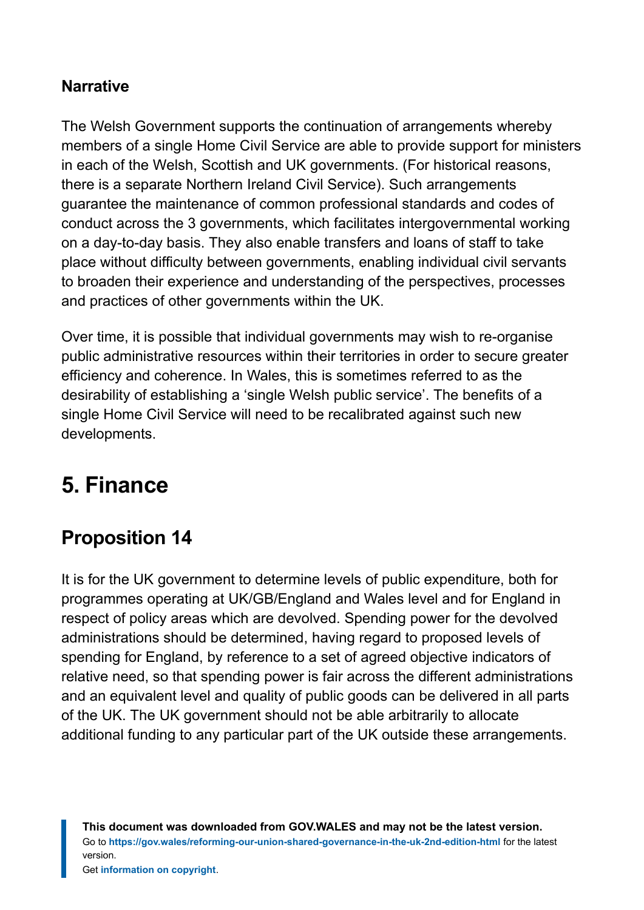#### **Narrative**

The Welsh Government supports the continuation of arrangements whereby members of a single Home Civil Service are able to provide support for ministers in each of the Welsh, Scottish and UK governments. (For historical reasons, there is a separate Northern Ireland Civil Service). Such arrangements guarantee the maintenance of common professional standards and codes of conduct across the 3 governments, which facilitates intergovernmental working on a day-to-day basis. They also enable transfers and loans of staff to take place without difficulty between governments, enabling individual civil servants to broaden their experience and understanding of the perspectives, processes and practices of other governments within the UK.

Over time, it is possible that individual governments may wish to re-organise public administrative resources within their territories in order to secure greater efficiency and coherence. In Wales, this is sometimes referred to as the desirability of establishing a 'single Welsh public service'. The benefits of a single Home Civil Service will need to be recalibrated against such new developments.

# <span id="page-30-0"></span>**5. Finance**

# **Proposition 14**

It is for the UK government to determine levels of public expenditure, both for programmes operating at UK/GB/England and Wales level and for England in respect of policy areas which are devolved. Spending power for the devolved administrations should be determined, having regard to proposed levels of spending for England, by reference to a set of agreed objective indicators of relative need, so that spending power is fair across the different administrations and an equivalent level and quality of public goods can be delivered in all parts of the UK. The UK government should not be able arbitrarily to allocate additional funding to any particular part of the UK outside these arrangements.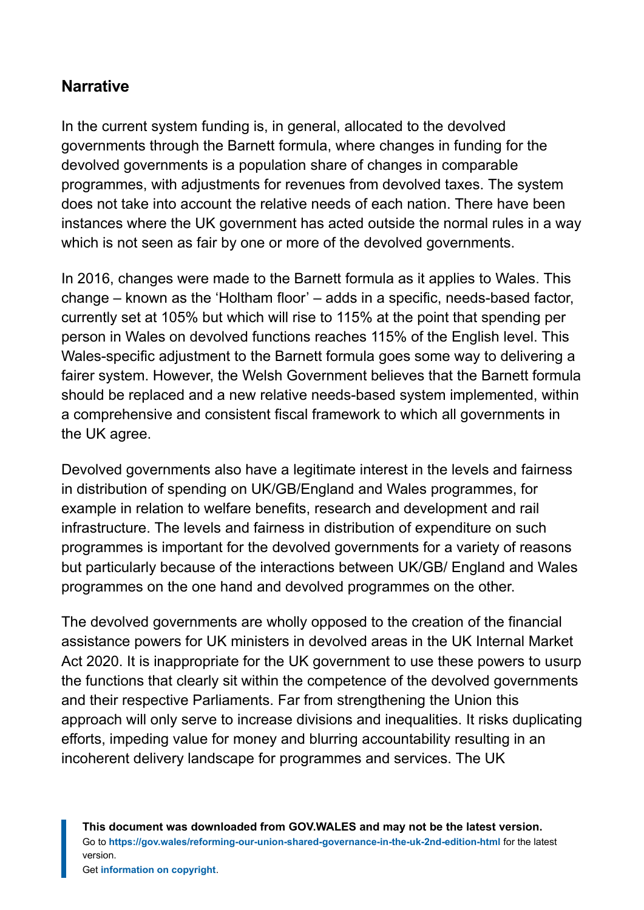#### **Narrative**

In the current system funding is, in general, allocated to the devolved governments through the Barnett formula, where changes in funding for the devolved governments is a population share of changes in comparable programmes, with adjustments for revenues from devolved taxes. The system does not take into account the relative needs of each nation. There have been instances where the UK government has acted outside the normal rules in a way which is not seen as fair by one or more of the devolved governments.

In 2016, changes were made to the Barnett formula as it applies to Wales. This change – known as the 'Holtham floor' – adds in a specific, needs-based factor, currently set at 105% but which will rise to 115% at the point that spending per person in Wales on devolved functions reaches 115% of the English level. This Wales-specific adjustment to the Barnett formula goes some way to delivering a fairer system. However, the Welsh Government believes that the Barnett formula should be replaced and a new relative needs-based system implemented, within a comprehensive and consistent fiscal framework to which all governments in the UK agree.

Devolved governments also have a legitimate interest in the levels and fairness in distribution of spending on UK/GB/England and Wales programmes, for example in relation to welfare benefits, research and development and rail infrastructure. The levels and fairness in distribution of expenditure on such programmes is important for the devolved governments for a variety of reasons but particularly because of the interactions between UK/GB/ England and Wales programmes on the one hand and devolved programmes on the other.

The devolved governments are wholly opposed to the creation of the financial assistance powers for UK ministers in devolved areas in the UK Internal Market Act 2020. It is inappropriate for the UK government to use these powers to usurp the functions that clearly sit within the competence of the devolved governments and their respective Parliaments. Far from strengthening the Union this approach will only serve to increase divisions and inequalities. It risks duplicating efforts, impeding value for money and blurring accountability resulting in an incoherent delivery landscape for programmes and services. The UK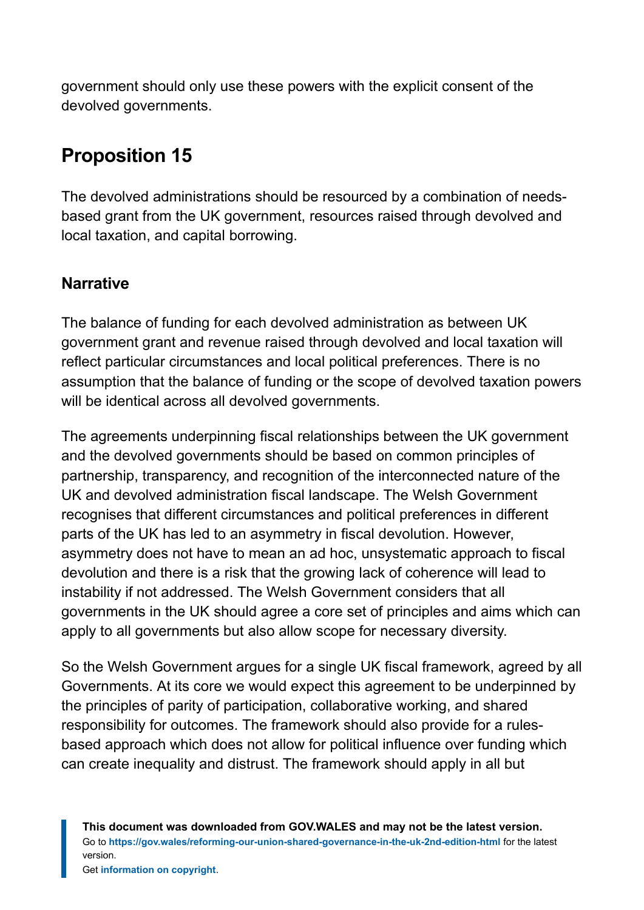government should only use these powers with the explicit consent of the devolved governments.

# **Proposition 15**

The devolved administrations should be resourced by a combination of needsbased grant from the UK government, resources raised through devolved and local taxation, and capital borrowing.

#### **Narrative**

The balance of funding for each devolved administration as between UK government grant and revenue raised through devolved and local taxation will reflect particular circumstances and local political preferences. There is no assumption that the balance of funding or the scope of devolved taxation powers will be identical across all devolved governments.

The agreements underpinning fiscal relationships between the UK government and the devolved governments should be based on common principles of partnership, transparency, and recognition of the interconnected nature of the UK and devolved administration fiscal landscape. The Welsh Government recognises that different circumstances and political preferences in different parts of the UK has led to an asymmetry in fiscal devolution. However, asymmetry does not have to mean an ad hoc, unsystematic approach to fiscal devolution and there is a risk that the growing lack of coherence will lead to instability if not addressed. The Welsh Government considers that all governments in the UK should agree a core set of principles and aims which can apply to all governments but also allow scope for necessary diversity.

So the Welsh Government argues for a single UK fiscal framework, agreed by all Governments. At its core we would expect this agreement to be underpinned by the principles of parity of participation, collaborative working, and shared responsibility for outcomes. The framework should also provide for a rulesbased approach which does not allow for political influence over funding which can create inequality and distrust. The framework should apply in all but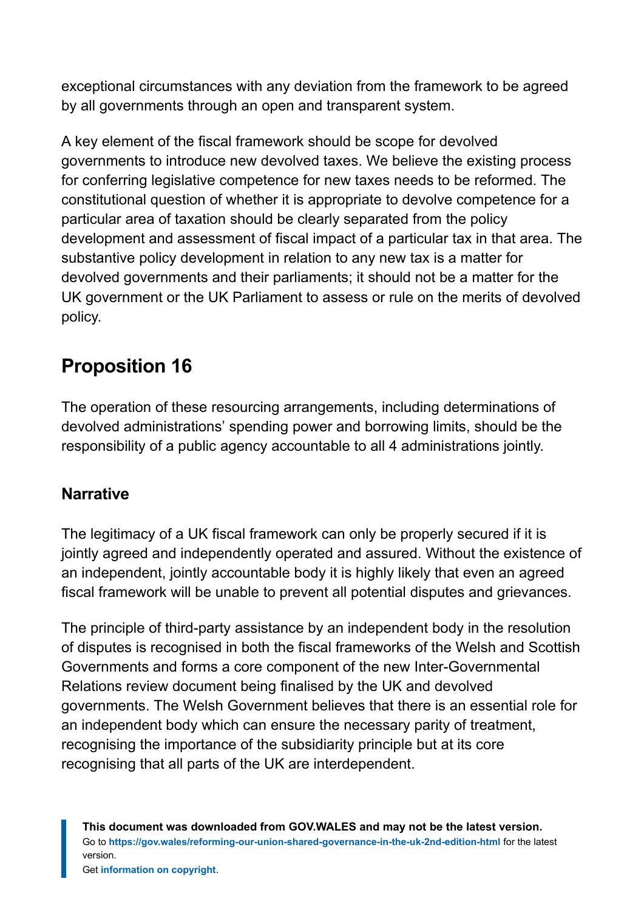exceptional circumstances with any deviation from the framework to be agreed by all governments through an open and transparent system.

A key element of the fiscal framework should be scope for devolved governments to introduce new devolved taxes. We believe the existing process for conferring legislative competence for new taxes needs to be reformed. The constitutional question of whether it is appropriate to devolve competence for a particular area of taxation should be clearly separated from the policy development and assessment of fiscal impact of a particular tax in that area. The substantive policy development in relation to any new tax is a matter for devolved governments and their parliaments; it should not be a matter for the UK government or the UK Parliament to assess or rule on the merits of devolved policy.

# **Proposition 16**

The operation of these resourcing arrangements, including determinations of devolved administrations' spending power and borrowing limits, should be the responsibility of a public agency accountable to all 4 administrations jointly.

#### **Narrative**

The legitimacy of a UK fiscal framework can only be properly secured if it is jointly agreed and independently operated and assured. Without the existence of an independent, jointly accountable body it is highly likely that even an agreed fiscal framework will be unable to prevent all potential disputes and grievances.

The principle of third-party assistance by an independent body in the resolution of disputes is recognised in both the fiscal frameworks of the Welsh and Scottish Governments and forms a core component of the new Inter-Governmental Relations review document being finalised by the UK and devolved governments. The Welsh Government believes that there is an essential role for an independent body which can ensure the necessary parity of treatment, recognising the importance of the subsidiarity principle but at its core recognising that all parts of the UK are interdependent.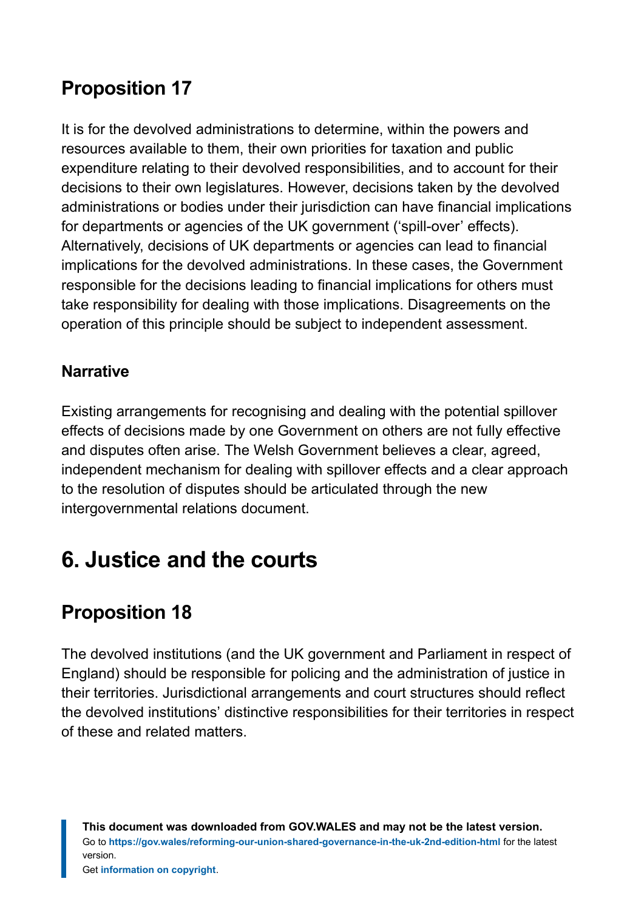# **Proposition 17**

It is for the devolved administrations to determine, within the powers and resources available to them, their own priorities for taxation and public expenditure relating to their devolved responsibilities, and to account for their decisions to their own legislatures. However, decisions taken by the devolved administrations or bodies under their jurisdiction can have financial implications for departments or agencies of the UK government ('spill-over' effects). Alternatively, decisions of UK departments or agencies can lead to financial implications for the devolved administrations. In these cases, the Government responsible for the decisions leading to financial implications for others must take responsibility for dealing with those implications. Disagreements on the operation of this principle should be subject to independent assessment.

#### **Narrative**

Existing arrangements for recognising and dealing with the potential spillover effects of decisions made by one Government on others are not fully effective and disputes often arise. The Welsh Government believes a clear, agreed, independent mechanism for dealing with spillover effects and a clear approach to the resolution of disputes should be articulated through the new intergovernmental relations document.

# <span id="page-34-0"></span>**6. Justice and the courts**

# **Proposition 18**

The devolved institutions (and the UK government and Parliament in respect of England) should be responsible for policing and the administration of justice in their territories. Jurisdictional arrangements and court structures should reflect the devolved institutions' distinctive responsibilities for their territories in respect of these and related matters.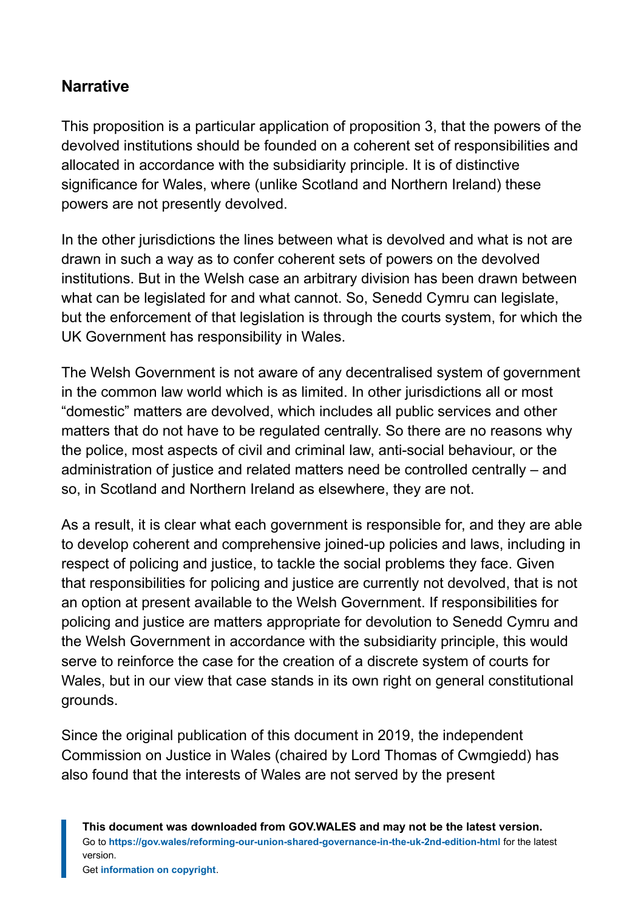#### **Narrative**

This proposition is a particular application of proposition 3, that the powers of the devolved institutions should be founded on a coherent set of responsibilities and allocated in accordance with the subsidiarity principle. It is of distinctive significance for Wales, where (unlike Scotland and Northern Ireland) these powers are not presently devolved.

In the other jurisdictions the lines between what is devolved and what is not are drawn in such a way as to confer coherent sets of powers on the devolved institutions. But in the Welsh case an arbitrary division has been drawn between what can be legislated for and what cannot. So, Senedd Cymru can legislate, but the enforcement of that legislation is through the courts system, for which the UK Government has responsibility in Wales.

The Welsh Government is not aware of any decentralised system of government in the common law world which is as limited. In other jurisdictions all or most "domestic" matters are devolved, which includes all public services and other matters that do not have to be regulated centrally. So there are no reasons why the police, most aspects of civil and criminal law, anti-social behaviour, or the administration of justice and related matters need be controlled centrally – and so, in Scotland and Northern Ireland as elsewhere, they are not.

As a result, it is clear what each government is responsible for, and they are able to develop coherent and comprehensive joined-up policies and laws, including in respect of policing and justice, to tackle the social problems they face. Given that responsibilities for policing and justice are currently not devolved, that is not an option at present available to the Welsh Government. If responsibilities for policing and justice are matters appropriate for devolution to Senedd Cymru and the Welsh Government in accordance with the subsidiarity principle, this would serve to reinforce the case for the creation of a discrete system of courts for Wales, but in our view that case stands in its own right on general constitutional grounds.

Since the original publication of this document in 2019, the independent Commission on Justice in Wales (chaired by Lord Thomas of Cwmgiedd) has also found that the interests of Wales are not served by the present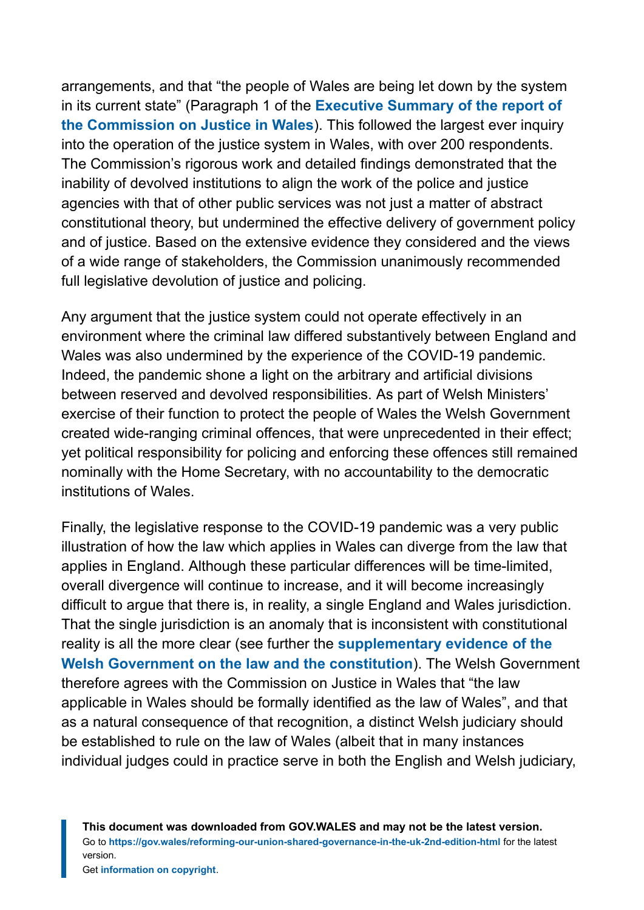arrangements, and that "the people of Wales are being let down by the system in its current state" (Paragraph 1 of the **[Executive Summary of the report of](https://gov.wales/commission-justice-wales-report) [the Commission on Justice in Wales](https://gov.wales/commission-justice-wales-report)**). This followed the largest ever inquiry into the operation of the justice system in Wales, with over 200 respondents. The Commission's rigorous work and detailed findings demonstrated that the inability of devolved institutions to align the work of the police and justice agencies with that of other public services was not just a matter of abstract constitutional theory, but undermined the effective delivery of government policy and of justice. Based on the extensive evidence they considered and the views of a wide range of stakeholders, the Commission unanimously recommended full legislative devolution of justice and policing.

Any argument that the justice system could not operate effectively in an environment where the criminal law differed substantively between England and Wales was also undermined by the experience of the COVID-19 pandemic. Indeed, the pandemic shone a light on the arbitrary and artificial divisions between reserved and devolved responsibilities. As part of Welsh Ministers' exercise of their function to protect the people of Wales the Welsh Government created wide-ranging criminal offences, that were unprecedented in their effect; yet political responsibility for policing and enforcing these offences still remained nominally with the Home Secretary, with no accountability to the democratic institutions of Wales.

Finally, the legislative response to the COVID-19 pandemic was a very public illustration of how the law which applies in Wales can diverge from the law that applies in England. Although these particular differences will be time-limited, overall divergence will continue to increase, and it will become increasingly difficult to argue that there is, in reality, a single England and Wales jurisdiction. That the single jurisdiction is an anomaly that is inconsistent with constitutional reality is all the more clear (see further the **[supplementary evidence of the](https://gov.wales/sites/default/files/publications/2018-08/supplementary-evidence-welsh-government-commission-justice-in-wales-law-and-constitution.pdf) [Welsh Government on the law and the constitution](https://gov.wales/sites/default/files/publications/2018-08/supplementary-evidence-welsh-government-commission-justice-in-wales-law-and-constitution.pdf)**). The Welsh Government therefore agrees with the Commission on Justice in Wales that "the law applicable in Wales should be formally identified as the law of Wales", and that as a natural consequence of that recognition, a distinct Welsh judiciary should be established to rule on the law of Wales (albeit that in many instances individual judges could in practice serve in both the English and Welsh judiciary,

**This document was downloaded from GOV.WALES and may not be the latest version.** Go to **<https://gov.wales/reforming-our-union-shared-governance-in-the-uk-2nd-edition-html>** for the latest version.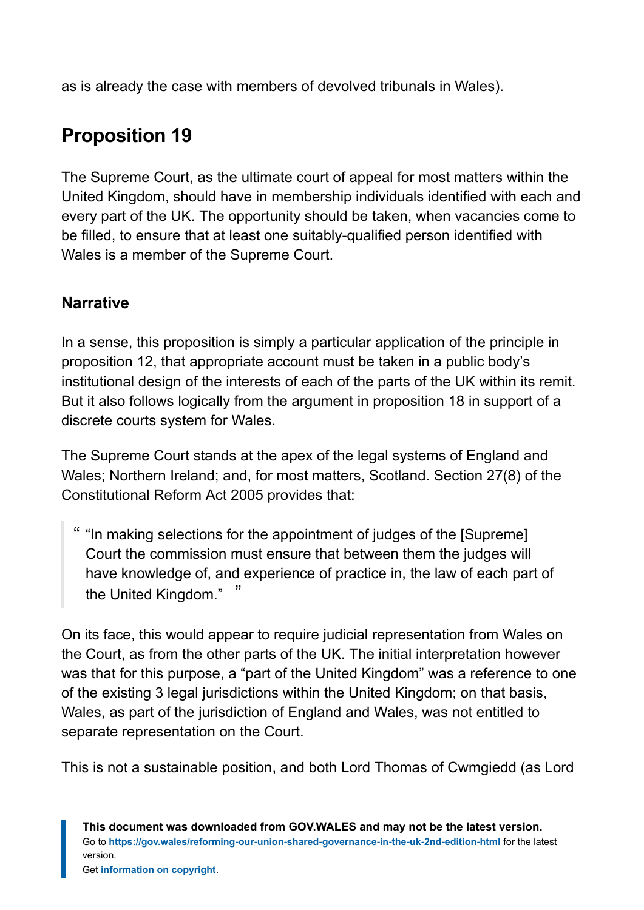as is already the case with members of devolved tribunals in Wales).

# **Proposition 19**

The Supreme Court, as the ultimate court of appeal for most matters within the United Kingdom, should have in membership individuals identified with each and every part of the UK. The opportunity should be taken, when vacancies come to be filled, to ensure that at least one suitably-qualified person identified with Wales is a member of the Supreme Court.

#### **Narrative**

In a sense, this proposition is simply a particular application of the principle in proposition 12, that appropriate account must be taken in a public body's institutional design of the interests of each of the parts of the UK within its remit. But it also follows logically from the argument in proposition 18 in support of a discrete courts system for Wales.

The Supreme Court stands at the apex of the legal systems of England and Wales; Northern Ireland; and, for most matters, Scotland. Section 27(8) of the Constitutional Reform Act 2005 provides that:

" "In making selections for the appointment of judges of the [Supreme] Court the commission must ensure that between them the judges will have knowledge of, and experience of practice in, the law of each part of the United Kingdom." "

On its face, this would appear to require judicial representation from Wales on the Court, as from the other parts of the UK. The initial interpretation however was that for this purpose, a "part of the United Kingdom" was a reference to one of the existing 3 legal jurisdictions within the United Kingdom; on that basis, Wales, as part of the jurisdiction of England and Wales, was not entitled to separate representation on the Court.

This is not a sustainable position, and both Lord Thomas of Cwmgiedd (as Lord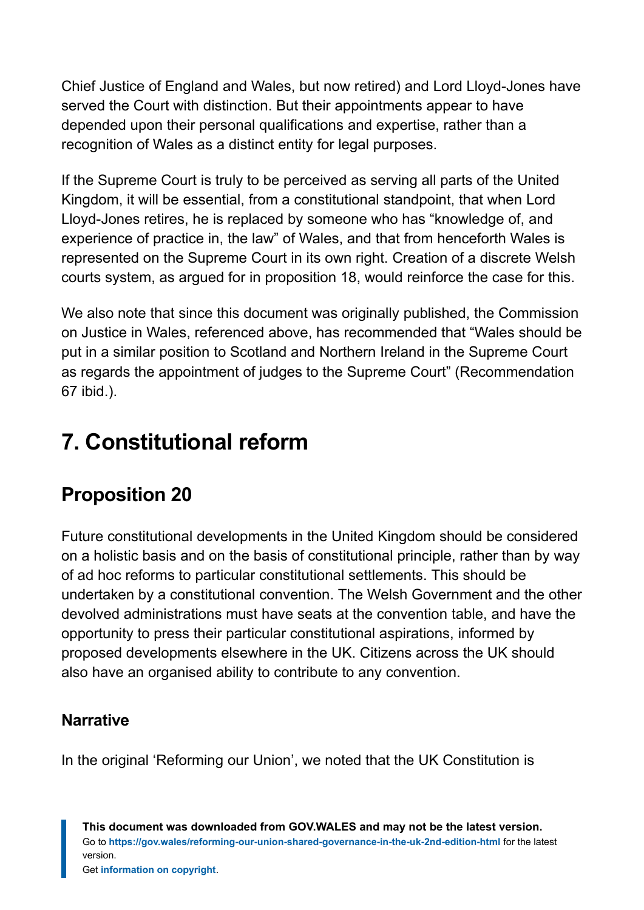Chief Justice of England and Wales, but now retired) and Lord Lloyd-Jones have served the Court with distinction. But their appointments appear to have depended upon their personal qualifications and expertise, rather than a recognition of Wales as a distinct entity for legal purposes.

If the Supreme Court is truly to be perceived as serving all parts of the United Kingdom, it will be essential, from a constitutional standpoint, that when Lord Lloyd-Jones retires, he is replaced by someone who has "knowledge of, and experience of practice in, the law" of Wales, and that from henceforth Wales is represented on the Supreme Court in its own right. Creation of a discrete Welsh courts system, as argued for in proposition 18, would reinforce the case for this.

We also note that since this document was originally published, the Commission on Justice in Wales, referenced above, has recommended that "Wales should be put in a similar position to Scotland and Northern Ireland in the Supreme Court as regards the appointment of judges to the Supreme Court" (Recommendation 67 ibid.).

# <span id="page-38-0"></span>**7. Constitutional reform**

### **Proposition 20**

Future constitutional developments in the United Kingdom should be considered on a holistic basis and on the basis of constitutional principle, rather than by way of ad hoc reforms to particular constitutional settlements. This should be undertaken by a constitutional convention. The Welsh Government and the other devolved administrations must have seats at the convention table, and have the opportunity to press their particular constitutional aspirations, informed by proposed developments elsewhere in the UK. Citizens across the UK should also have an organised ability to contribute to any convention.

#### **Narrative**

In the original 'Reforming our Union', we noted that the UK Constitution is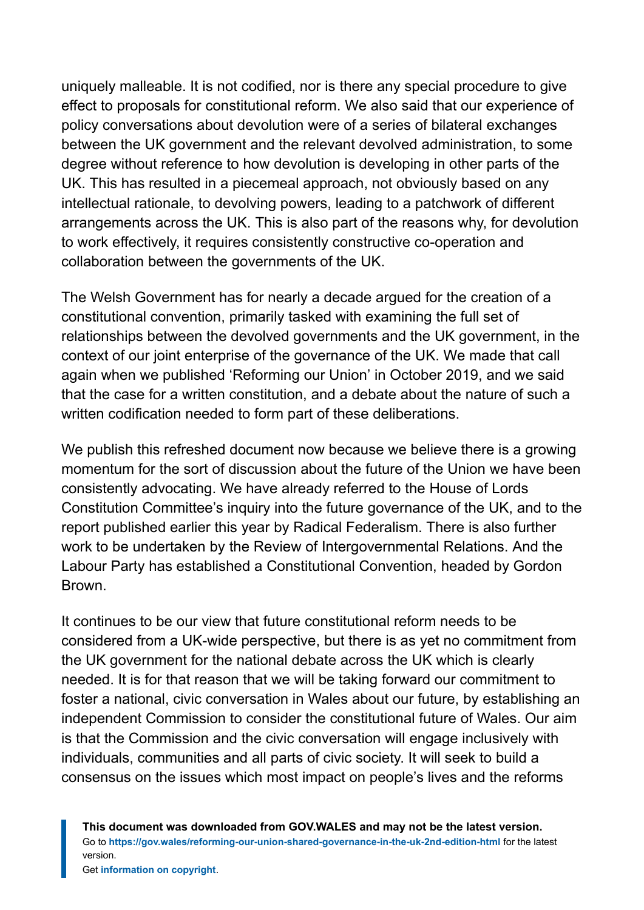uniquely malleable. It is not codified, nor is there any special procedure to give effect to proposals for constitutional reform. We also said that our experience of policy conversations about devolution were of a series of bilateral exchanges between the UK government and the relevant devolved administration, to some degree without reference to how devolution is developing in other parts of the UK. This has resulted in a piecemeal approach, not obviously based on any intellectual rationale, to devolving powers, leading to a patchwork of different arrangements across the UK. This is also part of the reasons why, for devolution to work effectively, it requires consistently constructive co-operation and collaboration between the governments of the UK.

The Welsh Government has for nearly a decade argued for the creation of a constitutional convention, primarily tasked with examining the full set of relationships between the devolved governments and the UK government, in the context of our joint enterprise of the governance of the UK. We made that call again when we published 'Reforming our Union' in October 2019, and we said that the case for a written constitution, and a debate about the nature of such a written codification needed to form part of these deliberations.

We publish this refreshed document now because we believe there is a growing momentum for the sort of discussion about the future of the Union we have been consistently advocating. We have already referred to the House of Lords Constitution Committee's inquiry into the future governance of the UK, and to the report published earlier this year by Radical Federalism. There is also further work to be undertaken by the Review of Intergovernmental Relations. And the Labour Party has established a Constitutional Convention, headed by Gordon Brown.

It continues to be our view that future constitutional reform needs to be considered from a UK-wide perspective, but there is as yet no commitment from the UK government for the national debate across the UK which is clearly needed. It is for that reason that we will be taking forward our commitment to foster a national, civic conversation in Wales about our future, by establishing an independent Commission to consider the constitutional future of Wales. Our aim is that the Commission and the civic conversation will engage inclusively with individuals, communities and all parts of civic society. It will seek to build a consensus on the issues which most impact on people's lives and the reforms

**This document was downloaded from GOV.WALES and may not be the latest version.** Go to **<https://gov.wales/reforming-our-union-shared-governance-in-the-uk-2nd-edition-html>** for the latest version.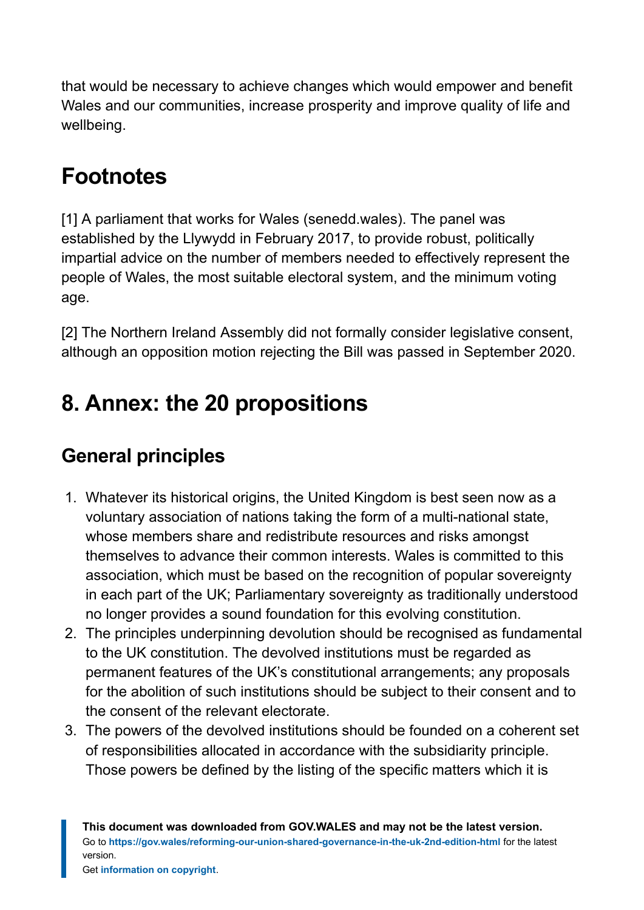that would be necessary to achieve changes which would empower and benefit Wales and our communities, increase prosperity and improve quality of life and wellbeing.

# **Footnotes**

<span id="page-40-1"></span>[1] A parliament that works for Wales (senedd.wales). The panel was established by the Llywydd in February 2017, to provide robust, politically impartial advice on the number of members needed to effectively represent the people of Wales, the most suitable electoral system, and the minimum voting age.

<span id="page-40-2"></span>[2] The Northern Ireland Assembly did not formally consider legislative consent, although an opposition motion rejecting the Bill was passed in September 2020.

# <span id="page-40-0"></span>**8. Annex: the 20 propositions**

# **General principles**

- 1. Whatever its historical origins, the United Kingdom is best seen now as a voluntary association of nations taking the form of a multi-national state, whose members share and redistribute resources and risks amongst themselves to advance their common interests. Wales is committed to this association, which must be based on the recognition of popular sovereignty in each part of the UK; Parliamentary sovereignty as traditionally understood no longer provides a sound foundation for this evolving constitution.
- 2. The principles underpinning devolution should be recognised as fundamental to the UK constitution. The devolved institutions must be regarded as permanent features of the UK's constitutional arrangements; any proposals for the abolition of such institutions should be subject to their consent and to the consent of the relevant electorate.
- 3. The powers of the devolved institutions should be founded on a coherent set of responsibilities allocated in accordance with the subsidiarity principle. Those powers be defined by the listing of the specific matters which it is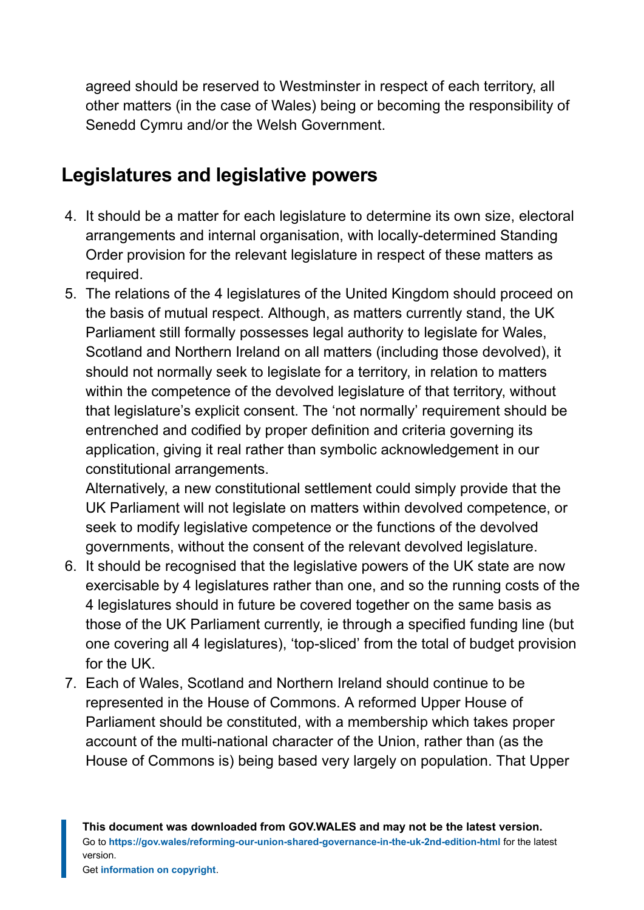agreed should be reserved to Westminster in respect of each territory, all other matters (in the case of Wales) being or becoming the responsibility of Senedd Cymru and/or the Welsh Government.

### **Legislatures and legislative powers**

- 4. It should be a matter for each legislature to determine its own size, electoral arrangements and internal organisation, with locally-determined Standing Order provision for the relevant legislature in respect of these matters as required.
- 5. The relations of the 4 legislatures of the United Kingdom should proceed on the basis of mutual respect. Although, as matters currently stand, the UK Parliament still formally possesses legal authority to legislate for Wales, Scotland and Northern Ireland on all matters (including those devolved), it should not normally seek to legislate for a territory, in relation to matters within the competence of the devolved legislature of that territory, without that legislature's explicit consent. The 'not normally' requirement should be entrenched and codified by proper definition and criteria governing its application, giving it real rather than symbolic acknowledgement in our constitutional arrangements.

Alternatively, a new constitutional settlement could simply provide that the UK Parliament will not legislate on matters within devolved competence, or seek to modify legislative competence or the functions of the devolved governments, without the consent of the relevant devolved legislature.

- 6. It should be recognised that the legislative powers of the UK state are now exercisable by 4 legislatures rather than one, and so the running costs of the 4 legislatures should in future be covered together on the same basis as those of the UK Parliament currently, ie through a specified funding line (but one covering all 4 legislatures), 'top-sliced' from the total of budget provision for the UK.
- 7. Each of Wales, Scotland and Northern Ireland should continue to be represented in the House of Commons. A reformed Upper House of Parliament should be constituted, with a membership which takes proper account of the multi-national character of the Union, rather than (as the House of Commons is) being based very largely on population. That Upper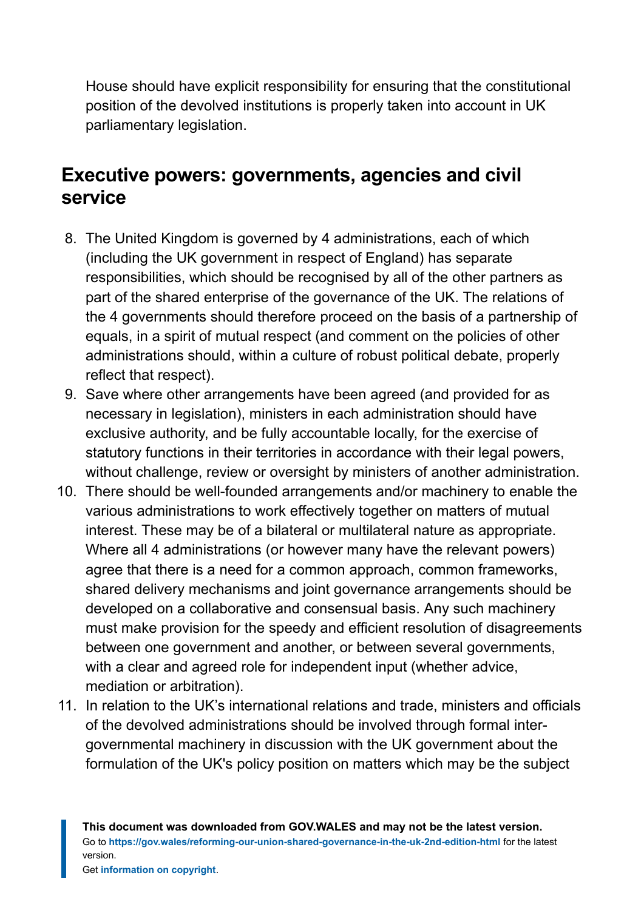House should have explicit responsibility for ensuring that the constitutional position of the devolved institutions is properly taken into account in UK parliamentary legislation.

### **Executive powers: governments, agencies and civil service**

- 8. The United Kingdom is governed by 4 administrations, each of which (including the UK government in respect of England) has separate responsibilities, which should be recognised by all of the other partners as part of the shared enterprise of the governance of the UK. The relations of the 4 governments should therefore proceed on the basis of a partnership of equals, in a spirit of mutual respect (and comment on the policies of other administrations should, within a culture of robust political debate, properly reflect that respect).
- 9. Save where other arrangements have been agreed (and provided for as necessary in legislation), ministers in each administration should have exclusive authority, and be fully accountable locally, for the exercise of statutory functions in their territories in accordance with their legal powers, without challenge, review or oversight by ministers of another administration.
- 10. There should be well-founded arrangements and/or machinery to enable the various administrations to work effectively together on matters of mutual interest. These may be of a bilateral or multilateral nature as appropriate. Where all 4 administrations (or however many have the relevant powers) agree that there is a need for a common approach, common frameworks, shared delivery mechanisms and joint governance arrangements should be developed on a collaborative and consensual basis. Any such machinery must make provision for the speedy and efficient resolution of disagreements between one government and another, or between several governments, with a clear and agreed role for independent input (whether advice, mediation or arbitration).
- 11. In relation to the UK's international relations and trade, ministers and officials of the devolved administrations should be involved through formal intergovernmental machinery in discussion with the UK government about the formulation of the UK's policy position on matters which may be the subject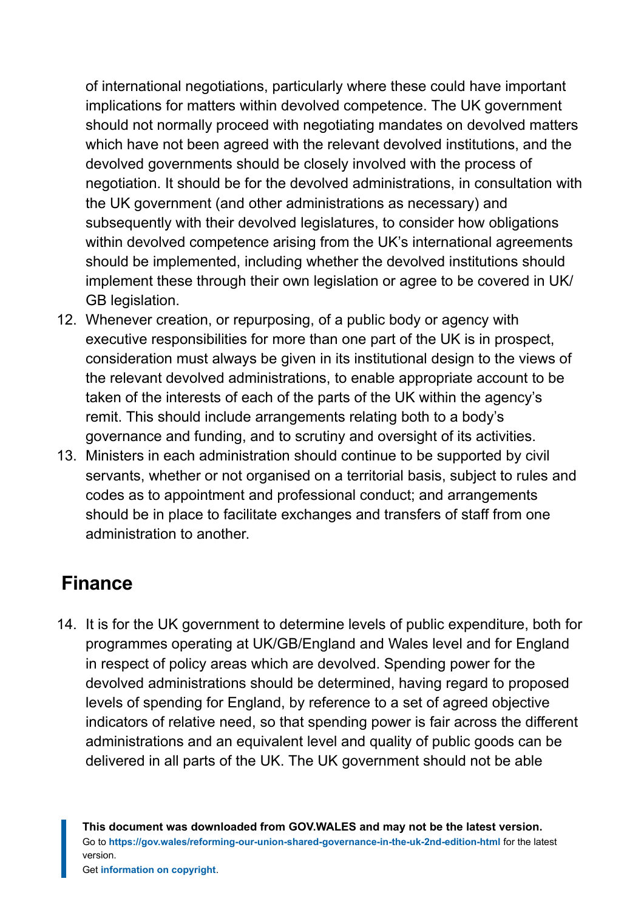of international negotiations, particularly where these could have important implications for matters within devolved competence. The UK government should not normally proceed with negotiating mandates on devolved matters which have not been agreed with the relevant devolved institutions, and the devolved governments should be closely involved with the process of negotiation. It should be for the devolved administrations, in consultation with the UK government (and other administrations as necessary) and subsequently with their devolved legislatures, to consider how obligations within devolved competence arising from the UK's international agreements should be implemented, including whether the devolved institutions should implement these through their own legislation or agree to be covered in UK/ GB legislation.

- 12. Whenever creation, or repurposing, of a public body or agency with executive responsibilities for more than one part of the UK is in prospect, consideration must always be given in its institutional design to the views of the relevant devolved administrations, to enable appropriate account to be taken of the interests of each of the parts of the UK within the agency's remit. This should include arrangements relating both to a body's governance and funding, and to scrutiny and oversight of its activities.
- 13. Ministers in each administration should continue to be supported by civil servants, whether or not organised on a territorial basis, subject to rules and codes as to appointment and professional conduct; and arrangements should be in place to facilitate exchanges and transfers of staff from one administration to another.

### **Finance**

14. It is for the UK government to determine levels of public expenditure, both for programmes operating at UK/GB/England and Wales level and for England in respect of policy areas which are devolved. Spending power for the devolved administrations should be determined, having regard to proposed levels of spending for England, by reference to a set of agreed objective indicators of relative need, so that spending power is fair across the different administrations and an equivalent level and quality of public goods can be delivered in all parts of the UK. The UK government should not be able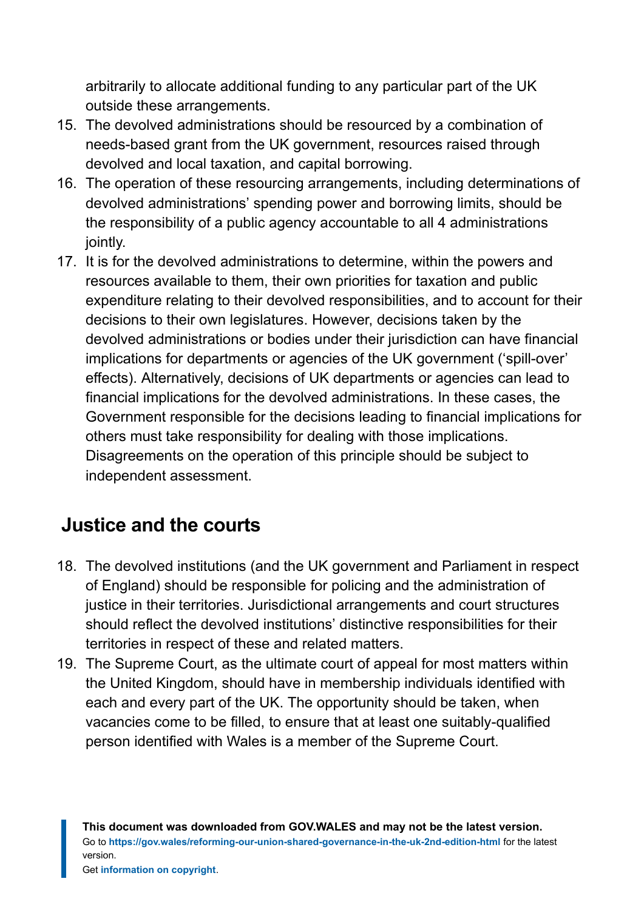arbitrarily to allocate additional funding to any particular part of the UK outside these arrangements.

- 15. The devolved administrations should be resourced by a combination of needs-based grant from the UK government, resources raised through devolved and local taxation, and capital borrowing.
- 16. The operation of these resourcing arrangements, including determinations of devolved administrations' spending power and borrowing limits, should be the responsibility of a public agency accountable to all 4 administrations jointly.
- 17. It is for the devolved administrations to determine, within the powers and resources available to them, their own priorities for taxation and public expenditure relating to their devolved responsibilities, and to account for their decisions to their own legislatures. However, decisions taken by the devolved administrations or bodies under their jurisdiction can have financial implications for departments or agencies of the UK government ('spill-over' effects). Alternatively, decisions of UK departments or agencies can lead to financial implications for the devolved administrations. In these cases, the Government responsible for the decisions leading to financial implications for others must take responsibility for dealing with those implications. Disagreements on the operation of this principle should be subject to independent assessment.

### **Justice and the courts**

- 18. The devolved institutions (and the UK government and Parliament in respect of England) should be responsible for policing and the administration of justice in their territories. Jurisdictional arrangements and court structures should reflect the devolved institutions' distinctive responsibilities for their territories in respect of these and related matters.
- 19. The Supreme Court, as the ultimate court of appeal for most matters within the United Kingdom, should have in membership individuals identified with each and every part of the UK. The opportunity should be taken, when vacancies come to be filled, to ensure that at least one suitably-qualified person identified with Wales is a member of the Supreme Court.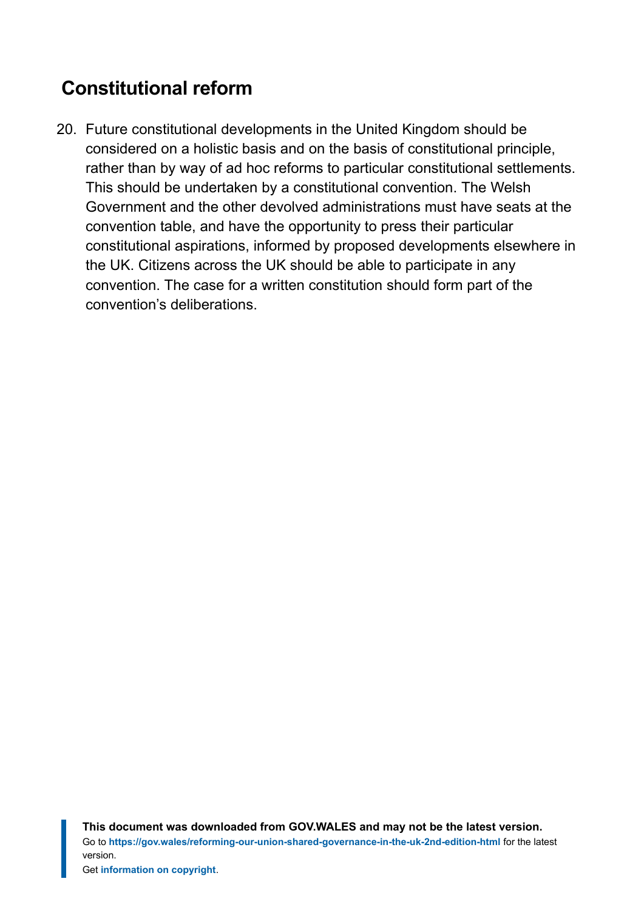# **Constitutional reform**

20. Future constitutional developments in the United Kingdom should be considered on a holistic basis and on the basis of constitutional principle, rather than by way of ad hoc reforms to particular constitutional settlements. This should be undertaken by a constitutional convention. The Welsh Government and the other devolved administrations must have seats at the convention table, and have the opportunity to press their particular constitutional aspirations, informed by proposed developments elsewhere in the UK. Citizens across the UK should be able to participate in any convention. The case for a written constitution should form part of the convention's deliberations.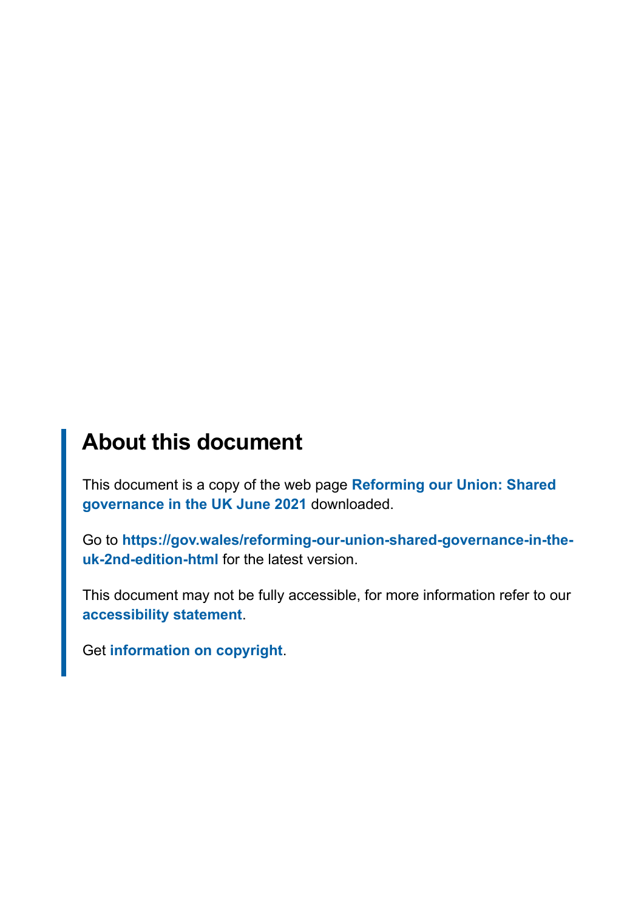# **About this document**

This document is a copy of the web page **[Reforming our Union: Shared](https://gov.wales/reforming-our-union-shared-governance-in-the-uk-2nd-edition-html) [governance in the UK June 2021](https://gov.wales/reforming-our-union-shared-governance-in-the-uk-2nd-edition-html)** downloaded.

Go to **[https://gov.wales/reforming-our-union-shared-governance-in-the](https://gov.wales/reforming-our-union-shared-governance-in-the-uk-2nd-edition-html)[uk-2nd-edition-html](https://gov.wales/reforming-our-union-shared-governance-in-the-uk-2nd-edition-html)** for the latest version.

This document may not be fully accessible, for more information refer to our **[accessibility statement](https://gov.wales/accessibility-statement-govwales)**.